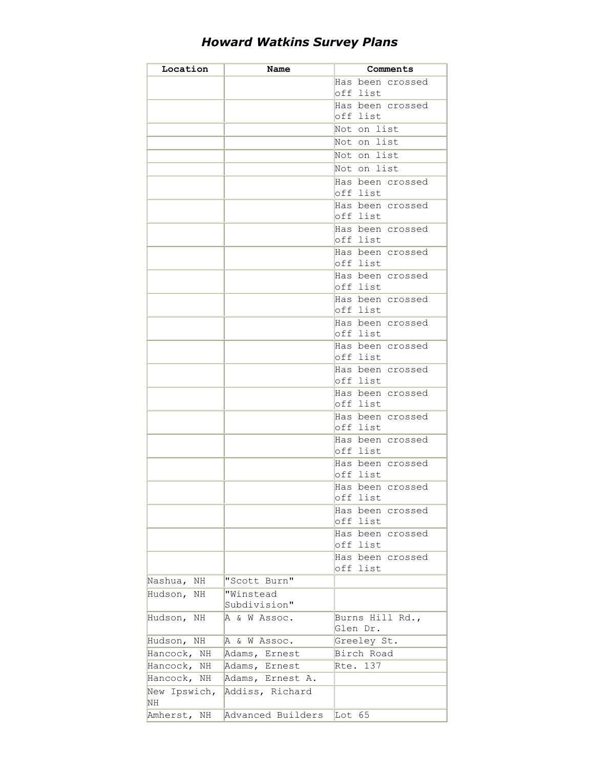| Location      | Name              | Comments                     |
|---------------|-------------------|------------------------------|
|               |                   | Has been crossed             |
|               |                   | off list                     |
|               |                   | Has been crossed             |
|               |                   | off list                     |
|               |                   | Not on list                  |
|               |                   | Not on list                  |
|               |                   | Not on list                  |
|               |                   | Not on list                  |
|               |                   |                              |
|               |                   | Has been crossed<br>off list |
|               |                   | Has been crossed             |
|               |                   | off list                     |
|               |                   | Has been crossed             |
|               |                   | off list                     |
|               |                   | Has been crossed             |
|               |                   | off list                     |
|               |                   | Has been crossed             |
|               |                   | off list                     |
|               |                   | Has been crossed             |
|               |                   | off list                     |
|               |                   | Has been crossed             |
|               |                   | off list                     |
|               |                   | Has been crossed             |
|               |                   | off list                     |
|               |                   | Has been crossed             |
|               |                   | off list                     |
|               |                   | Has been crossed             |
|               |                   | off list                     |
|               |                   | Has been crossed             |
|               |                   | off list                     |
|               |                   | Has been crossed             |
|               |                   | off list                     |
|               |                   | Has been crossed             |
|               |                   | off list                     |
|               |                   | Has been crossed             |
|               |                   | off list                     |
|               |                   | Has been crossed             |
|               |                   | off list                     |
|               |                   | Has been crossed             |
|               |                   | off list                     |
|               |                   | Has been crossed             |
|               |                   | off list                     |
| Nashua,<br>ΝH | "Scott Burn"      |                              |
| Hudson,<br>NH | "Winstead         |                              |
|               | Subdivision"      |                              |
| Hudson, NH    | A & W Assoc.      | Burns Hill Rd.,<br>Glen Dr.  |
| Hudson, NH    | A & W Assoc.      | Greeley St.                  |
| Hancock, NH   | Adams, Ernest     | Birch Road                   |
| Hancock, NH   | Adams, Ernest     | Rte. 137                     |
| Hancock, NH   | Adams, Ernest A.  |                              |
| New Ipswich,  | Addiss, Richard   |                              |
| NH            |                   |                              |
| Amherst, NH   | Advanced Builders | Lot $65$                     |

## *Howard Watkins Survey Plans*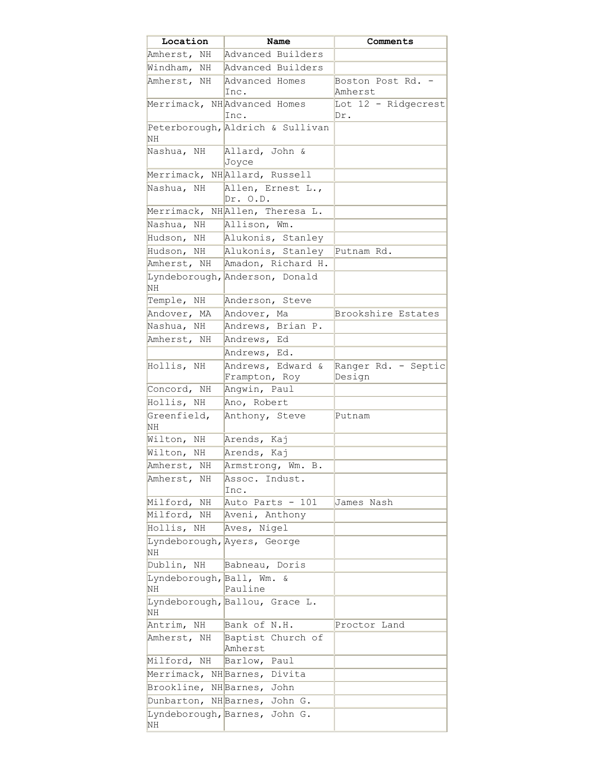| Location                      | Name                                     | Comments                      |
|-------------------------------|------------------------------------------|-------------------------------|
|                               | Amherst, NH Advanced Builders            |                               |
| Windham, NH                   | Advanced Builders                        |                               |
| Amherst, NH                   | Advanced Homes<br>Inc.                   | Boston Post Rd. -<br>Amherst  |
|                               | Merrimack, NHAdvanced Homes<br>Inc.      | Lot 12 - Ridgecrest<br>Dr.    |
| NH                            | Peterborough, Aldrich & Sullivan         |                               |
| Nashua, NH                    | Allard, John &<br>Joyce                  |                               |
|                               | Merrimack, NHAllard, Russell             |                               |
| Nashua, NH                    | Allen, Ernest L.,<br>Dr. O.D.            |                               |
|                               | Merrimack, NHAllen, Theresa L.           |                               |
| Nashua, NH                    | Allison, Wm.                             |                               |
| Hudson, NH                    | Alukonis, Stanley                        |                               |
| Hudson, NH                    | Alukonis, Stanley                        | Putnam Rd.                    |
|                               | Amherst, NH   Amadon, Richard H.         |                               |
| NH                            | Lyndeborough, Anderson, Donald           |                               |
| Temple, NH                    | Anderson, Steve                          |                               |
| Andover, MA                   | Andover, Ma                              | Brookshire Estates            |
| Nashua, NH                    | Andrews, Brian P.                        |                               |
| Amherst, NH                   | Andrews, Ed                              |                               |
|                               | Andrews, Ed.                             |                               |
| Hollis, NH                    | Andrews, Edward &<br>Frampton, Roy       | Ranger Rd. - Septic<br>Design |
| Concord, NH                   | Angwin, Paul                             |                               |
| Hollis, NH                    | Ano, Robert                              |                               |
| Greenfield,<br>NΗ             | Anthony, Steve                           | Putnam                        |
| Wilton, NH                    | Arends, Kaj                              |                               |
| Wilton, NH                    | Arends, Kaj                              |                               |
| Amherst, NH                   | Armstrong, Wm.<br>В.                     |                               |
| Amherst, NH                   | Assoc. Indust.<br>Inc.                   |                               |
| Milford, NH                   | Auto Parts - 101                         | James Nash                    |
| Milford, NH                   | Aveni, Anthony                           |                               |
| Hollis, NH                    | Aves, Nigel                              |                               |
| NH                            | Lyndeborough, Ayers, George              |                               |
| Dublin, NH                    | Babneau, Doris                           |                               |
| Lyndeborough, Ball, Wm.<br>ΝH | &<br>Pauline                             |                               |
| NH                            | Lyndeborough, Ballou, Grace L.           |                               |
| Antrim, NH                    | Bank of N.H.                             | Proctor Land                  |
|                               | Amherst, NH Baptist Church of<br>Amherst |                               |
| Milford, NH                   | Barlow, Paul                             |                               |
|                               | Merrimack, NHBarnes, Divita              |                               |
| Brookline, NHBarnes, John     |                                          |                               |
|                               | Dunbarton, NH Barnes, John G.            |                               |
| NH                            | Lyndeborough, Barnes, John G.            |                               |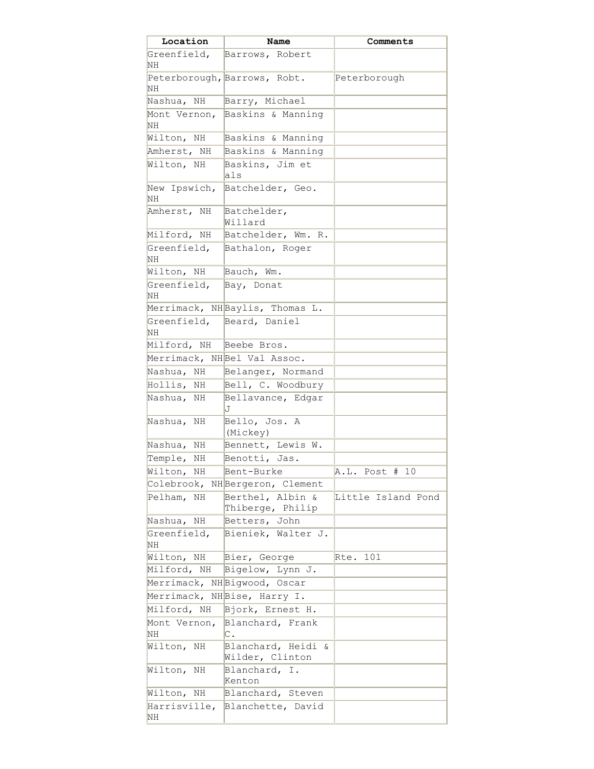| Location           | Name                                            | Comments             |
|--------------------|-------------------------------------------------|----------------------|
| Greenfield,<br>NH  | Barrows, Robert                                 |                      |
|                    | Peterborough, Barrows, Robt.                    | Peterborough         |
| NH                 |                                                 |                      |
| Nashua, NH         | Barry, Michael                                  |                      |
| Mont Vernon,<br>NH | Baskins & Manning                               |                      |
| Wilton, NH         | Baskins & Manning                               |                      |
| Amherst, NH        | Baskins & Manning                               |                      |
| Wilton, NH         | Baskins, Jim et<br>als                          |                      |
| New Ipswich,<br>NH | Batchelder, Geo.                                |                      |
| Amherst, NH        | Batchelder,<br>Willard                          |                      |
| Milford, NH        | Batchelder, Wm. R.                              |                      |
| Greenfield,<br>NH  | Bathalon, Roger                                 |                      |
| Wilton, NH         | Bauch, Wm.                                      |                      |
| Greenfield,        | Bay, Donat                                      |                      |
| NН                 |                                                 |                      |
|                    | Merrimack, NHBaylis, Thomas L.                  |                      |
| Greenfield,<br>NH  | Beard, Daniel                                   |                      |
| Milford, NH        | Beebe Bros.                                     |                      |
|                    | Merrimack, NHBel Val Assoc.                     |                      |
| Nashua, NH         | Belanger, Normand                               |                      |
| Hollis, NH         | Bell, C. Woodbury                               |                      |
| Nashua,<br>ΝH      | Bellavance, Edgar<br>J                          |                      |
| Nashua,<br>ΝH      | Bello, Jos. A<br>(Mickey)                       |                      |
| Nashua, NH         | Bennett, Lewis W.                               |                      |
| Temple, NH         | Benotti, Jas.                                   |                      |
| Wilton, NH         | Bent-Burke                                      | A.L.<br>Post #<br>10 |
|                    | Colebrook, NHBergeron, Clement                  |                      |
| Pelham, NH         | Berthel, Albin &<br>Thiberge, Philip            | Little Island Pond   |
| Nashua, NH         | Betters, John                                   |                      |
| Greenfield,<br>NH  | Bieniek, Walter J.                              |                      |
| Wilton, NH         | Bier, George                                    | Rte. 101             |
| Milford, NH        | Bigelow, Lynn J.                                |                      |
|                    | Merrimack, NHBigwood, Oscar                     |                      |
|                    | Merrimack, NHBise, Harry I.                     |                      |
| Milford, NH        | Bjork, Ernest H.                                |                      |
| Mont Vernon,       | Blanchard, Frank                                |                      |
| ΝH                 | С.                                              |                      |
| Wilton,<br>ΝH      | Blanchard, Heidi<br>$\delta$<br>Wilder, Clinton |                      |
| Wilton,<br>ΝH      | Blanchard, I.<br>Kenton                         |                      |
| Wilton, NH         | Blanchard, Steven                               |                      |
| Harrisville,       | Blanchette, David                               |                      |
| ΝH                 |                                                 |                      |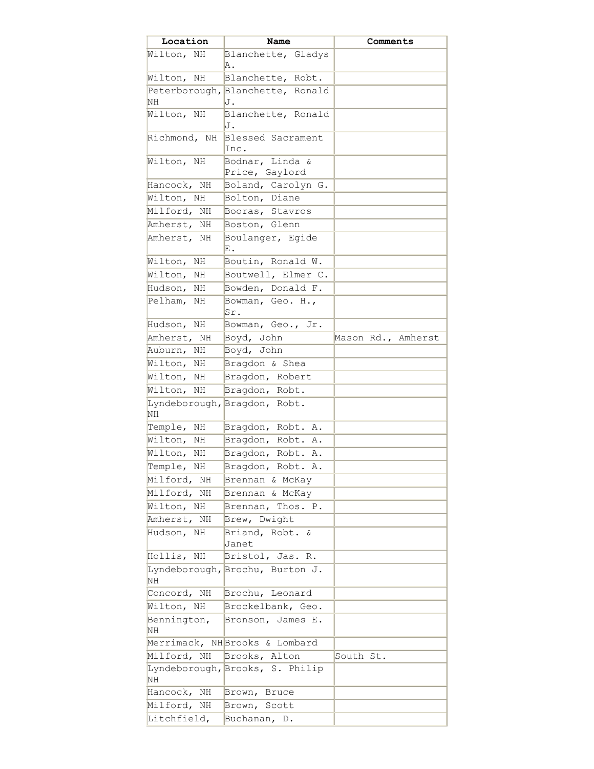| Location          | Name                              | Comments           |
|-------------------|-----------------------------------|--------------------|
| Wilton, NH        | Blanchette, Gladys<br>Α.          |                    |
| Wilton, NH        | Blanchette, Robt.                 |                    |
|                   | Peterborough, Blanchette, Ronald  |                    |
| NH                | J.                                |                    |
| Wilton, NH        | Blanchette, Ronald<br>J.          |                    |
| Richmond, NH      | Blessed Sacrament                 |                    |
|                   | Inc.                              |                    |
| Wilton, NH        | Bodnar, Linda &<br>Price, Gaylord |                    |
| Hancock, NH       | Boland, Carolyn G.                |                    |
| Wilton, NH        | Bolton, Diane                     |                    |
| Milford, NH       | Booras, Stavros                   |                    |
| Amherst, NH       | Boston, Glenn                     |                    |
| Amherst, NH       | Boulanger, Egide<br>Ε.            |                    |
| Wilton,<br>ΝH     | Boutin, Ronald W.                 |                    |
| Wilton,<br>ΝH     | Boutwell, Elmer C.                |                    |
| Hudson,<br>ΝH     | Bowden, Donald F.                 |                    |
| Pelham, NH        | Bowman, Geo. H.,<br>Sr.           |                    |
| Hudson, NH        | Bowman, Geo., Jr.                 |                    |
| Amherst, NH       | Boyd, John                        | Mason Rd., Amherst |
| Auburn, NH        | Boyd, John                        |                    |
| Wilton,<br>ΝH     | Bragdon & Shea                    |                    |
| Wilton,<br>NH     | Bragdon, Robert                   |                    |
| Wilton,<br>ΝH     | Bragdon, Robt.                    |                    |
| <b>NH</b>         | Lyndeborough, Bragdon, Robt.      |                    |
| Temple,<br>ΝH     | Bragdon, Robt. A.                 |                    |
| Wilton,<br>ΝH     | Bragdon, Robt. A.                 |                    |
| Wilton,<br>ΝH     | Bragdon, Robt. A.                 |                    |
| Temple,<br>NΗ     | Bragdon,<br>Robt.<br>Α.           |                    |
| Milford, NH       | Brennan & McKay                   |                    |
| Milford, NH       | Brennan & McKay                   |                    |
| Wilton, NH        | Brennan, Thos. P.                 |                    |
| Amherst, NH       | Brew, Dwight                      |                    |
| Hudson, NH        | Briand, Robt. &<br>Janet          |                    |
| Hollis, NH        | Bristol, Jas. R.                  |                    |
| NH                | Lyndeborough, Brochu, Burton J.   |                    |
| Concord, NH       | Brochu, Leonard                   |                    |
| Wilton, NH        | Brockelbank, Geo.                 |                    |
| Bennington,<br>NΗ | Bronson, James E.                 |                    |
|                   | Merrimack, NHBrooks & Lombard     |                    |
| Milford, NH       | Brooks, Alton                     | South St.          |
| NH                | Lyndeborough, Brooks, S. Philip   |                    |
| Hancock, NH       | Brown, Bruce                      |                    |
| Milford, NH       | Brown, Scott                      |                    |
| Litchfield,       | Buchanan, D.                      |                    |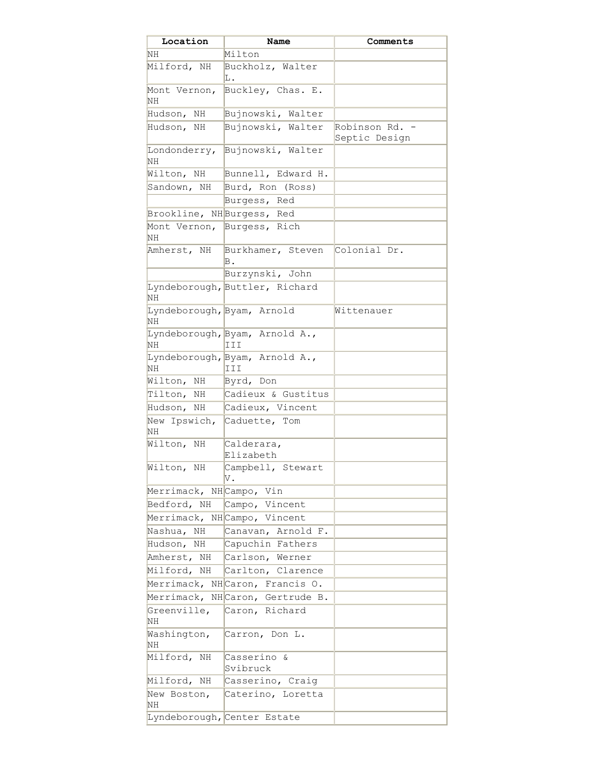| Location                         | Name                                  | Comments                        |
|----------------------------------|---------------------------------------|---------------------------------|
| NH                               | Milton                                |                                 |
| Milford, NH                      | Buckholz, Walter<br>Ŀ.                |                                 |
| Mont Vernon,<br>NH               | Buckley, Chas. E.                     |                                 |
| Hudson, NH                       | Bujnowski, Walter                     |                                 |
| Hudson, NH                       | Bujnowski, Walter                     | Robinson Rd. -<br>Septic Design |
| NH                               | Londonderry, Bujnowski, Walter        |                                 |
| Wilton, NH                       | Bunnell, Edward H.                    |                                 |
|                                  | Sandown, NH Burd, Ron (Ross)          |                                 |
|                                  | Burgess, Red                          |                                 |
| Brookline, NHBurgess, Red        |                                       |                                 |
| <b>NH</b>                        | Mont Vernon, Burgess, Rich            |                                 |
| Amherst, NH                      | Burkhamer, Steven<br>В.               | Colonial Dr.                    |
|                                  | Burzynski, John                       |                                 |
| <b>NH</b>                        | Lyndeborough, Buttler, Richard        |                                 |
| Lyndeborough, Byam, Arnold<br>NΗ |                                       | Wittenauer                      |
| NΗ                               | Lyndeborough, Byam, Arnold A.,<br>III |                                 |
| <b>NH</b>                        | Lyndeborough, Byam, Arnold A.,<br>III |                                 |
| Wilton, NH                       | Byrd, Don                             |                                 |
| Tilton, NH                       | Cadieux & Gustitus                    |                                 |
| Hudson, NH                       | Cadieux, Vincent                      |                                 |
| New Ipswich,<br>ΝH               | Caduette, Tom                         |                                 |
| Wilton, NH                       | Calderara,<br>Elizabeth               |                                 |
| Wilton,<br>NH                    | Campbell, Stewart<br>V.               |                                 |
| Merrimack, NHCampo, Vin          |                                       |                                 |
| Bedford, NH                      | Campo, Vincent                        |                                 |
|                                  | Merrimack, NHCampo, Vincent           |                                 |
| Nashua,<br>NH                    | Canavan, Arnold F.                    |                                 |
| Hudson, NH                       | Capuchin Fathers                      |                                 |
| Amherst, NH                      | Carlson, Werner                       |                                 |
| Milford, NH                      | Carlton, Clarence                     |                                 |
|                                  | Merrimack, NHCaron, Francis O.        |                                 |
|                                  | Merrimack, NHCaron, Gertrude B.       |                                 |
| Greenville,<br>NH.               | Caron, Richard                        |                                 |
| Washington,<br>NH                | Carron, Don L.                        |                                 |
| Milford, NH                      | Casserino &<br>Svibruck               |                                 |
| Milford, NH                      | Casserino, Craig                      |                                 |
| New Boston,<br>ΝH                | Caterino, Loretta                     |                                 |
|                                  | Lyndeborough, Center Estate           |                                 |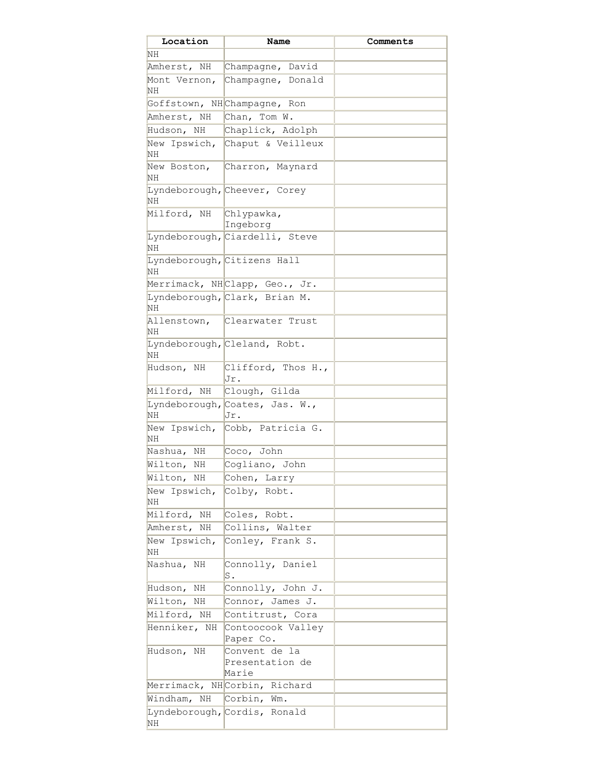| Location                          | Name                                      | Comments |
|-----------------------------------|-------------------------------------------|----------|
| NH                                |                                           |          |
| Amherst, NH                       | Champagne, David                          |          |
| Mont Vernon,<br>NH                | Champagne, Donald                         |          |
|                                   | Goffstown, NHChampagne, Ron               |          |
| Amherst, NH                       | Chan, Tom W.                              |          |
| Hudson, NH                        | Chaplick, Adolph                          |          |
| NH                                | New Ipswich, Chaput & Veilleux            |          |
| New Boston,<br>NH                 | Charron, Maynard                          |          |
| NH                                | Lyndeborough, Cheever, Corey              |          |
| Milford, NH                       | Chlypawka,<br>Ingeborg                    |          |
| NH                                | Lyndeborough, Ciardelli, Steve            |          |
| Lyndeborough, Citizens Hall<br>NH |                                           |          |
|                                   | Merrimack, NHClapp, Geo., Jr.             |          |
| NH                                | Lyndeborough, Clark, Brian M.             |          |
| Allenstown,<br>NH                 | Clearwater Trust                          |          |
| NH                                | Lyndeborough, Cleland, Robt.              |          |
| Hudson, NH                        | Clifford, Thos H.,<br>Jr.                 |          |
| Milford, NH                       | Clough, Gilda                             |          |
| NH                                | Lyndeborough, Coates, Jas. W.,<br>Jr.     |          |
| New Ipswich,<br>NH                | Cobb, Patricia G.                         |          |
| Nashua, NH                        | Coco, John                                |          |
| Wilton, NH                        | Cogliano, John                            |          |
| Wilton, NH                        | Cohen, Larry                              |          |
| New Ipswich,<br>NH                | Colby, Robt.                              |          |
| Milford, NH                       | Coles, Robt.                              |          |
| Amherst, NH                       | Collins, Walter                           |          |
| New Ipswich,<br>NH                | Conley, Frank S.                          |          |
| Nashua, NH                        | Connolly, Daniel<br>S.                    |          |
| Hudson,<br>ΝH                     | Connolly, John J.                         |          |
| Wilton, NH                        | Connor, James J.                          |          |
| Milford, NH                       | Contitrust, Cora                          |          |
| Henniker, NH                      | Contoocook Valley<br>Paper Co.            |          |
| Hudson, NH                        | Convent de la<br>Presentation de<br>Marie |          |
|                                   | Merrimack, NHCorbin, Richard              |          |
| Windham, NH                       | $\boxed{\text{Corbin},\text{ Wm}}$ .      |          |
| NH                                | Lyndeborough, Cordis, Ronald              |          |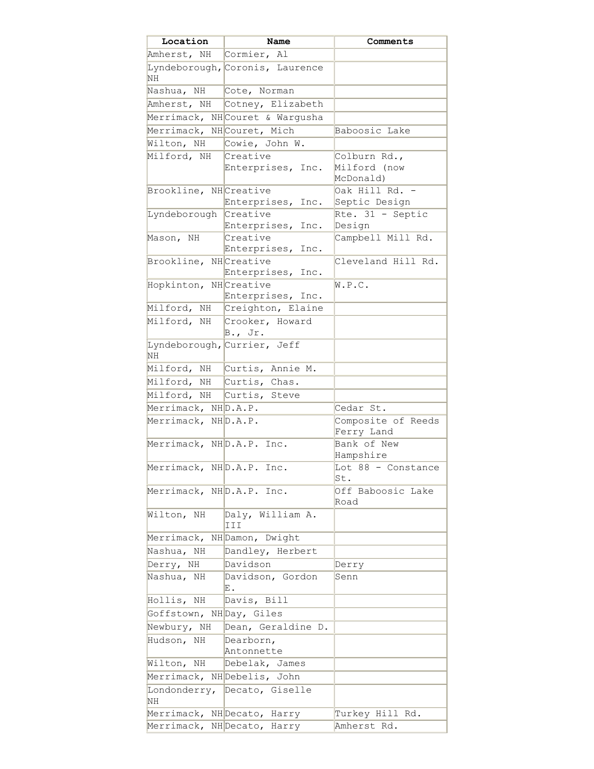| Location                  | Name                            | Comments                         |
|---------------------------|---------------------------------|----------------------------------|
| Amherst, NH Cormier, Al   |                                 |                                  |
| NH                        | Lyndeborough, Coronis, Laurence |                                  |
| Nashua, NH Cote, Norman   |                                 |                                  |
|                           | Amherst, NH Cotney, Elizabeth   |                                  |
|                           | Merrimack, NHCouret & Wargusha  |                                  |
| Merrimack, NHCouret, Mich |                                 | Baboosic Lake                    |
| Wilton, NH                | Cowie, John W.                  |                                  |
| Milford, NH               | Creative                        | Colburn Rd.,                     |
|                           | Enterprises, Inc.               | Milford (now<br>McDonald)        |
| Brookline, NHCreative     |                                 | Oak Hill Rd. -                   |
|                           | Enterprises, Inc.               | Septic Design                    |
| Lyndeborough Creative     |                                 | $Rte. 31 - Septic$               |
|                           | Enterprises, Inc.               | Design                           |
| Mason, NH                 | Creative<br>Enterprises, Inc.   | Campbell Mill Rd.                |
| Brookline, NHCreative     |                                 | Cleveland Hill Rd.               |
|                           | Enterprises, Inc.               |                                  |
| Hopkinton, NHCreative     |                                 | W.P.C.                           |
|                           | Enterprises, Inc.               |                                  |
|                           | Milford, NH Creighton, Elaine   |                                  |
|                           | Milford, NH Crooker, Howard     |                                  |
|                           | $B.$ , Jr.                      |                                  |
| NH                        | Lyndeborough, Currier, Jeff     |                                  |
|                           | Milford, NH Curtis, Annie M.    |                                  |
| Milford, NH Curtis, Chas. |                                 |                                  |
|                           | Milford, NH Curtis, Steve       |                                  |
| Merrimack, NHD.A.P.       |                                 | Cedar St.                        |
| Merrimack, NHD.A.P.       |                                 | Composite of Reeds<br>Ferry Land |
| Merrimack, NHD.A.P. Inc.  |                                 | Bank of New<br>Hampshire         |
| Merrimack, NHD.A.P. Inc.  |                                 | Lot 88 - Constance<br>St.        |
| Merrimack, NHD.A.P. Inc.  |                                 | Off Baboosic Lake                |
|                           |                                 | Road                             |
| Wilton, NH                | Daly, William A.<br>III         |                                  |
|                           | Merrimack, NHDamon, Dwight      |                                  |
| Nashua, NH                | Dandley, Herbert                |                                  |
| Derry, NH                 | Davidson                        | Derry                            |
| Nashua, NH                | Davidson, Gordon<br>Ε.          | Senn                             |
| Hollis, NH                | Davis, Bill                     |                                  |
| Goffstown, NHDay, Giles   |                                 |                                  |
| Newbury, NH               | Dean, Geraldine D.              |                                  |
| Hudson, NH                | Dearborn,<br>Antonnette         |                                  |
| Wilton, NH                | Debelak, James                  |                                  |
|                           | Merrimack, NHDebelis, John      |                                  |
| NH                        | Londonderry, Decato, Giselle    |                                  |
|                           | Merrimack, NHDecato, Harry      | Turkey Hill Rd.                  |
|                           | Merrimack, NHDecato, Harry      | Amherst Rd.                      |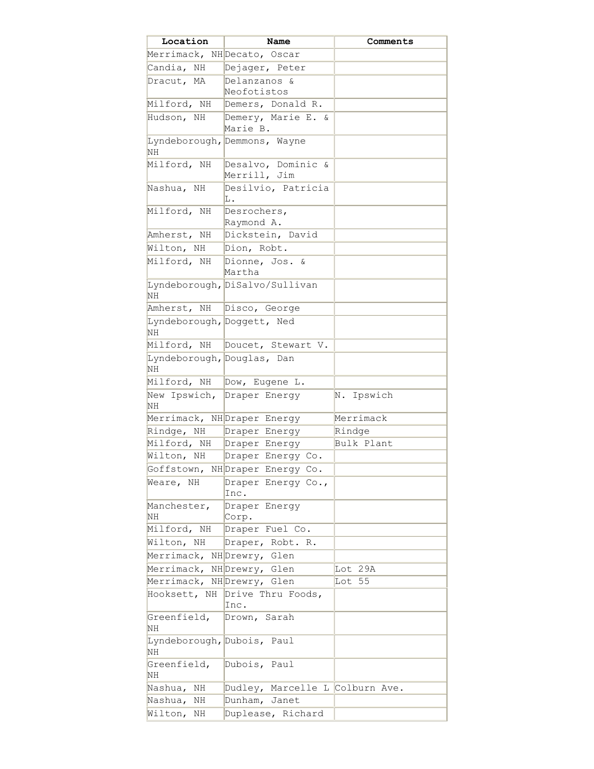| Location                                | Name                                   | Comments   |
|-----------------------------------------|----------------------------------------|------------|
|                                         | Merrimack, NHDecato, Oscar             |            |
| Candia, NH                              | Dejager, Peter                         |            |
| Dracut, MA                              | Delanzanos &                           |            |
|                                         | Neofotistos                            |            |
| Milford, NH                             | Demers, Donald R.                      |            |
| Hudson, NH                              | Demery, Marie E. &                     |            |
|                                         | Marie B.                               |            |
| NH                                      | Lyndeborough, Demmons, Wayne           |            |
| Milford, NH                             | Desalvo, Dominic &<br>Merrill, Jim     |            |
| Nashua, NH                              | Desilvio, Patricia<br>L.               |            |
| Milford, NH                             | Desrochers,<br>Raymond A.              |            |
| Amherst, NH                             | Dickstein, David                       |            |
| Wilton, NH                              | Dion, Robt.                            |            |
| Milford, NH                             | Dionne, Jos. &                         |            |
|                                         | Martha                                 |            |
| <b>NH</b>                               | Lyndeborough, DiSalvo/Sullivan         |            |
| Amherst, NH                             | Disco, George                          |            |
| Lyndeborough, Doggett, Ned<br>NH        |                                        |            |
| Milford, NH                             | Doucet, Stewart V.                     |            |
| Lyndeborough, Douglas, Dan              |                                        |            |
| NH                                      |                                        |            |
| Milford, NH                             | Dow, Eugene L.                         |            |
| New Ipswich,<br><b>NH</b>               | Draper Energy                          | N. Ipswich |
|                                         | Merrimack, NHDraper Energy             | Merrimack  |
| Rindge, NH                              | Draper Energy                          | Rindge     |
|                                         | Milford, NH Draper Energy              | Bulk Plant |
| Wilton, NH                              | Draper Energy Co.                      |            |
|                                         | Goffstown, NH Draper Energy Co.        |            |
| Weare, NH                               | Draper Energy Co.,                     |            |
|                                         | Inc.                                   |            |
| Manchester,                             | Draper Energy                          |            |
| NH                                      | Corp.                                  |            |
| Milford, NH                             | Draper Fuel Co.                        |            |
| Wilton, NH                              | Draper, Robt. R.                       |            |
| Merrimack, NHDrewry, Glen               |                                        |            |
| Merrimack, NH Drewry, Glen              |                                        | Lot 29A    |
| Merrimack, NHDrewry, Glen               |                                        | Lot 55     |
|                                         | Hooksett, NH Drive Thru Foods,<br>Inc. |            |
| Greenfield,<br><b>NH</b>                | Drown, Sarah                           |            |
| Lyndeborough, Dubois, Paul<br><b>NH</b> |                                        |            |
| Greenfield,<br>NH                       | Dubois, Paul                           |            |
| Nashua,<br>ΝH                           | Dudley, Marcelle L Colburn Ave.        |            |
| Nashua,<br>NН                           | Dunham, Janet                          |            |
| Wilton,<br>ΝH                           | Duplease, Richard                      |            |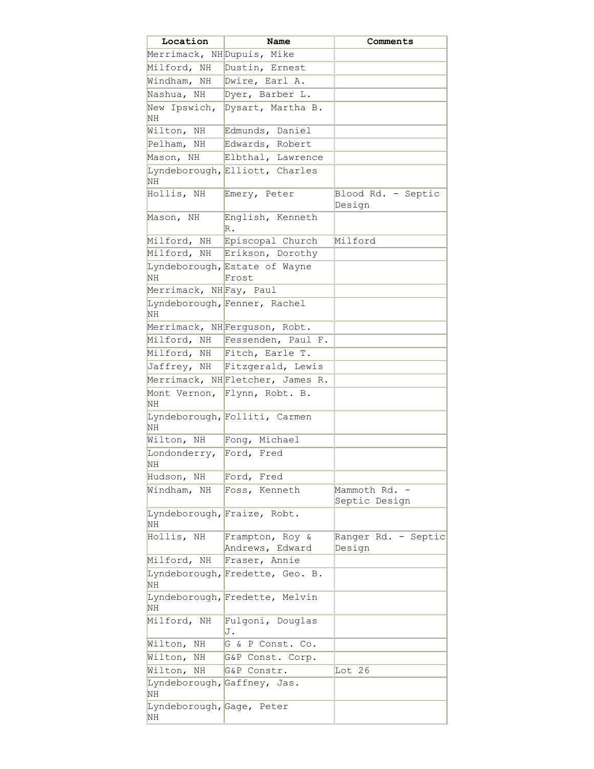| Location                        | Name                                   | Comments                     |
|---------------------------------|----------------------------------------|------------------------------|
| Merrimack, NH Dupuis, Mike      |                                        |                              |
| Milford, NH                     | Dustin, Ernest                         |                              |
| Windham, NH                     | Dwire, Earl A.                         |                              |
| Nashua, NH                      | Dyer, Barber L.                        |                              |
| New Ipswich,                    | Dysart, Martha B.                      |                              |
| ΝH                              |                                        |                              |
| Wilton, NH                      | Edmunds, Daniel                        |                              |
| Pelham, NH                      | Edwards, Robert                        |                              |
| Mason, NH                       | Elbthal, Lawrence                      |                              |
|                                 | Lyndeborough, Elliott, Charles         |                              |
| NH                              |                                        |                              |
| Hollis, NH                      | Emery, Peter                           | Blood Rd. - Septic<br>Design |
| Mason, NH                       | English, Kenneth<br>R.                 |                              |
|                                 | Milford, NH Episcopal Church           | Milford                      |
|                                 | Milford, NH Erikson, Dorothy           |                              |
| NH                              | Lyndeborough, Estate of Wayne<br>Frost |                              |
| Merrimack, NH Fay, Paul         |                                        |                              |
| NH                              | Lyndeborough, Fenner, Rachel           |                              |
|                                 | Merrimack, NHFerguson, Robt.           |                              |
|                                 | Milford, NH Fessenden, Paul F.         |                              |
|                                 | Milford, NH Fitch, Earle T.            |                              |
|                                 | Jaffrey, NH Fitzgerald, Lewis          |                              |
|                                 | Merrimack, NHFletcher, James R.        |                              |
| Mont Vernon,                    | Flynn, Robt. B.                        |                              |
| ΝH                              |                                        |                              |
| NH                              | Lyndeborough, Folliti, Carmen          |                              |
|                                 | Wilton, NH Fong, Michael               |                              |
| Londonderry, Ford, Fred<br>NН   |                                        |                              |
| Hudson, NH                      | Ford, Fred                             |                              |
| Windham, NH                     | Foss, Kenneth                          | Mammoth Rd.                  |
|                                 |                                        | Septic Design                |
| NH                              | Lyndeborough, Fraize, Robt.            |                              |
| Hollis, NH                      | Frampton, Roy &                        | Ranger Rd. - Septic          |
|                                 | Andrews, Edward                        | Design                       |
| Milford, NH                     | Fraser, Annie                          |                              |
| NH                              | Lyndeborough, Fredette, Geo. B.        |                              |
| NΗ                              | Lyndeborough, Fredette, Melvin         |                              |
| Milford, NH                     | Fulgoni, Douglas<br>J.                 |                              |
| Wilton,<br>ΝH                   | G & P Const. Co.                       |                              |
| Wilton,<br>ΝH                   | G&P Const. Corp.                       |                              |
| Wilton,<br>ΝH                   | G&P Constr.                            | Lot 26                       |
| NH                              | Lyndeborough, Gaffney, Jas.            |                              |
| Lyndeborough, Gage, Peter<br>ΝH |                                        |                              |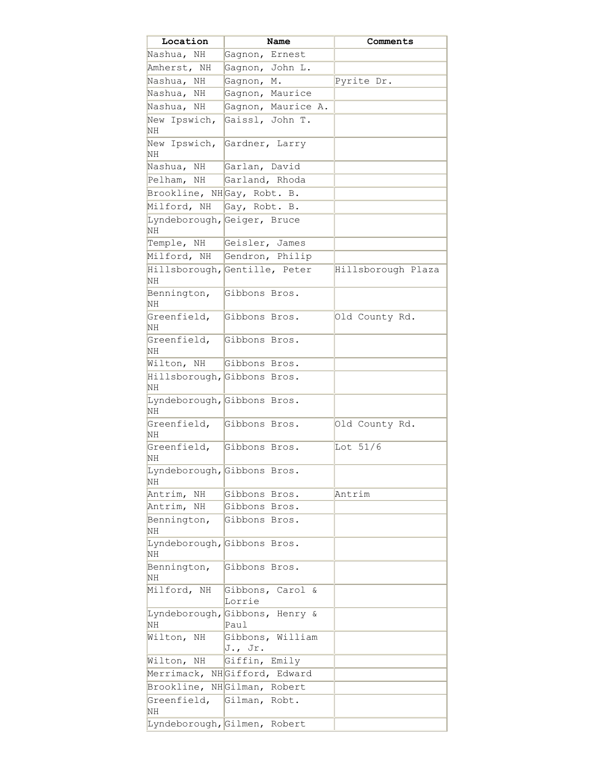| Location                          | Name                                   | Comments           |
|-----------------------------------|----------------------------------------|--------------------|
| Nashua, NH                        | Gagnon, Ernest                         |                    |
| Amherst, NH                       | Gagnon, John L.                        |                    |
| Nashua, NH                        | Gagnon, M.                             | Pyrite Dr.         |
| Nashua,<br>NH                     | Gagnon, Maurice                        |                    |
| Nashua, NH                        | Gagnon, Maurice A.                     |                    |
| New Ipswich,                      | Gaissl, John T.                        |                    |
| NΗ                                |                                        |                    |
| New Ipswich,                      | Gardner, Larry                         |                    |
| ΝH                                |                                        |                    |
| Nashua, NH                        | Garlan, David                          |                    |
| Pelham, NH                        | Garland, Rhoda                         |                    |
| Brookline, NHGay, Robt. B.        |                                        |                    |
| Milford, NH                       | Gay, Robt. B.                          |                    |
| NΗ                                | Lyndeborough, Geiger, Bruce            |                    |
| Temple, NH                        | Geisler, James                         |                    |
| Milford, NH                       | Gendron, Philip                        |                    |
|                                   | Hillsborough, Gentille, Peter          | Hillsborough Plaza |
| ΝH                                |                                        |                    |
| Bennington,<br>ΝH                 | Gibbons Bros.                          |                    |
| Greenfield,<br>ΝH                 | Gibbons Bros.                          | Old County Rd.     |
| Greenfield,<br>NΗ                 | Gibbons Bros.                          |                    |
| Wilton, NH                        | Gibbons Bros.                          |                    |
| Hillsborough, Gibbons Bros.<br>ΝH |                                        |                    |
| Lyndeborough, Gibbons Bros.<br>NΗ |                                        |                    |
| Greenfield,<br>NΗ                 | Gibbons Bros.                          | Old County Rd.     |
| Greenfield,<br>NН                 | Gibbons Bros.                          | Lot $51/6$         |
| Lyndeborough, Gibbons Bros.<br>NH |                                        |                    |
| Antrim,<br>ΝH                     | Gibbons Bros.                          | Antrim             |
| Antrim,<br>ΝH                     | Gibbons Bros.                          |                    |
| Bennington,<br>NH                 | Gibbons Bros.                          |                    |
| Lyndeborough, Gibbons Bros.<br>NH |                                        |                    |
| Bennington,<br>NH                 | Gibbons Bros.                          |                    |
| Milford, NH                       | Gibbons, Carol &<br>Lorrie             |                    |
| ΝH                                | Lyndeborough, Gibbons, Henry &<br>Paul |                    |
| Wilton, NH                        | Gibbons, William<br>$J.,$ Jr.          |                    |
| Wilton, NH                        | Giffin, Emily                          |                    |
|                                   | Merrimack, NHGifford, Edward           |                    |
| Brookline,                        | NHGilman, Robert                       |                    |
| Greenfield,<br>ΝH                 | Gilman, Robt.                          |                    |
|                                   | Lyndeborough, Gilmen, Robert           |                    |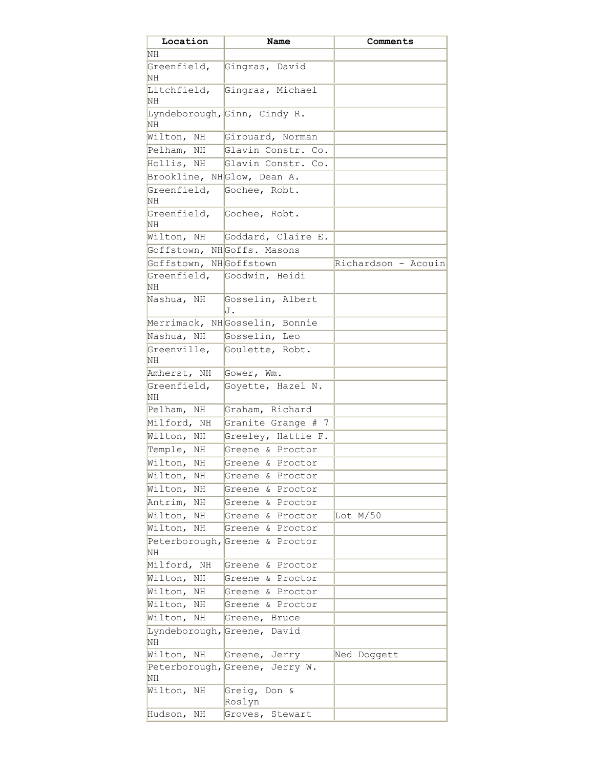| Location                   | Name                           | Comments            |
|----------------------------|--------------------------------|---------------------|
| ΝH                         |                                |                     |
| Greenfield,<br>NΗ          | Gingras, David                 |                     |
| Litchfield,<br>NΗ          | Gingras, Michael               |                     |
| ΝH                         | Lyndeborough, Ginn, Cindy R.   |                     |
| Wilton, NH                 | Girouard, Norman               |                     |
| Pelham, NH                 | Glavin Constr. Co.             |                     |
| Hollis, NH                 | Glavin Constr. Co.             |                     |
|                            | Brookline, NHGlow, Dean A.     |                     |
| Greenfield,<br>NΗ          | Gochee, Robt.                  |                     |
| Greenfield,<br>NΗ          | Gochee, Robt.                  |                     |
|                            | Wilton, NH Goddard, Claire E.  |                     |
|                            | Goffstown, NHGoffs. Masons     |                     |
| Goffstown, NHGoffstown     |                                | Richardson - Acouin |
| NΗ                         | Greenfield, Goodwin, Heidi     |                     |
| Nashua, NH                 | Gosselin, Albert<br>J.         |                     |
|                            | Merrimack, NHGosselin, Bonnie  |                     |
|                            | Nashua, NH Gosselin, Leo       |                     |
| Greenville,<br>NH          | Goulette, Robt.                |                     |
| Amherst, NH                | Gower, Wm.                     |                     |
| Greenfield,<br>ΝH          | Goyette, Hazel N.              |                     |
| Pelham, NH                 | Graham, Richard                |                     |
| Milford, NH                | Granite Grange # 7             |                     |
| Wilton, NH                 | Greeley, Hattie F.             |                     |
| Temple, NH                 | Greene & Proctor               |                     |
| Wilton, NH                 | Greene & Proctor               |                     |
| Wilton,<br>ΝH              | & Proctor<br>Greene            |                     |
| Wilton,<br>ΝH              | & Proctor<br>Greene            |                     |
| Antrim,<br>ΝH              | & Proctor<br>Greene            |                     |
| Wilton,<br>ΝH              | & Proctor<br>Greene            | Lot $M/50$          |
| Wilton,<br>ΝH              | & Proctor<br>Greene            |                     |
| Peterborough, Greene<br>NH | & Proctor                      |                     |
| Milford,<br>ΝH             | & Proctor<br>Greene            |                     |
| Wilton,<br>NH              | & Proctor<br>Greene            |                     |
| Wilton,<br>ΝH              | Greene<br>& Proctor            |                     |
| Wilton,<br>ΝH              | & Proctor<br>Greene            |                     |
| Wilton,<br>ΝH              | Greene, Bruce                  |                     |
| Lyndeborough,<br>ΝH        | Greene, David                  |                     |
| Wilton,<br>ΝH              | Greene, Jerry                  | Ned Doggett         |
| ΝH                         | Peterborough, Greene, Jerry W. |                     |
| Wilton,<br>ΝH              | Greig,<br>Don &<br>Roslyn      |                     |
| Hudson,<br>ΝH              | Stewart<br>Groves,             |                     |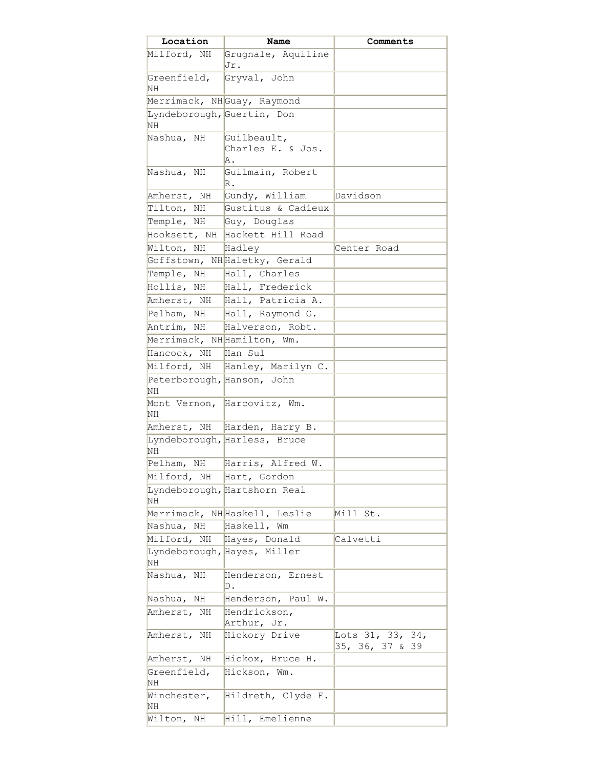| Location                         | Name                          | Comments                               |
|----------------------------------|-------------------------------|----------------------------------------|
| Milford, NH                      | Grugnale, Aquiline<br>Jr.     |                                        |
| Greenfield,<br>NH                | Gryval, John                  |                                        |
|                                  | Merrimack, NHGuay, Raymond    |                                        |
| Lyndeborough, Guertin, Don<br>NH |                               |                                        |
| Nashua, NH                       | Guilbeault,                   |                                        |
|                                  | Charles E. & Jos.<br>Α.       |                                        |
| Nashua, NH                       | Guilmain, Robert<br>R.        |                                        |
| Amherst, NH                      | Gundy, William                | Davidson                               |
| Tilton, NH                       | Gustitus & Cadieux            |                                        |
| Temple, NH                       | Guy, Douglas                  |                                        |
| Hooksett, NH                     | Hackett Hill Road             |                                        |
| Wilton, NH                       | Hadley                        | Center Road                            |
|                                  | Goffstown, NH Haletky, Gerald |                                        |
| Temple, NH                       | Hall, Charles                 |                                        |
| Hollis, NH                       | Hall, Frederick               |                                        |
| Amherst, NH                      | Hall, Patricia A.             |                                        |
| Pelham, NH                       | Hall, Raymond G.              |                                        |
|                                  | Antrim, NH Halverson, Robt.   |                                        |
| Merrimack, NHHamilton, Wm.       |                               |                                        |
| Hancock, NH                      | Han Sul                       |                                        |
| Milford, NH                      | Hanley, Marilyn C.            |                                        |
| Peterborough, Hanson, John       |                               |                                        |
| <b>NH</b>                        |                               |                                        |
| <b>NH</b>                        | Mont Vernon, Harcovitz, Wm.   |                                        |
| Amherst, NH                      | Harden, Harry B.              |                                        |
| NH                               | Lyndeborough, Harless, Bruce  |                                        |
| Pelham, NH                       | Harris, Alfred W.             |                                        |
| Milford, NH                      | Hart, Gordon                  |                                        |
| NH                               | Lyndeborough, Hartshorn Real  |                                        |
|                                  | Merrimack, NHHaskell, Leslie  | Mill St.                               |
| Nashua, NH                       | Haskell, Wm                   |                                        |
| Milford, NH                      | Hayes, Donald                 | Calvetti                               |
| NH                               | Lyndeborough, Hayes, Miller   |                                        |
| Nashua, NH                       | Henderson, Ernest<br>D.       |                                        |
| Nashua, NH                       | Henderson, Paul W.            |                                        |
| Amherst, NH                      | Hendrickson,<br>Arthur, Jr.   |                                        |
| Amherst, NH                      | Hickory Drive                 | Lots 31, 33, 34,<br>35, 36, 37 &<br>39 |
| Amherst, NH                      | Hickox, Bruce H.              |                                        |
| Greenfield,<br>ΝH                | Hickson, Wm.                  |                                        |
| Winchester,<br>ΝH                | Hildreth, Clyde F.            |                                        |
| Wilton,<br>ΝH                    | Hill, Emelienne               |                                        |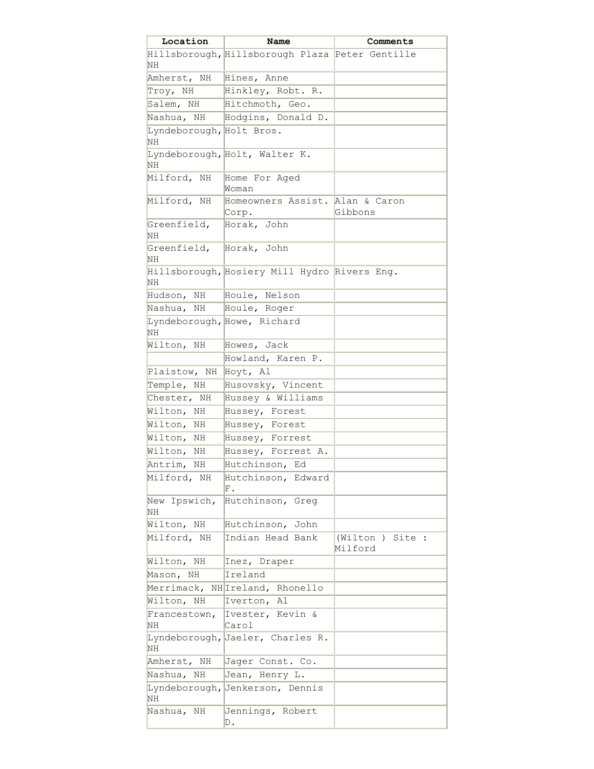| Location                       | Name                                            | Comments                       |
|--------------------------------|-------------------------------------------------|--------------------------------|
|                                | Hillsborough, Hillsborough Plaza Peter Gentille |                                |
| ΝH                             |                                                 |                                |
| Amherst, NH                    | Hines, Anne                                     |                                |
| Troy, NH                       | Hinkley, Robt. R.                               |                                |
| Salem, NH                      | Hitchmoth, Geo.                                 |                                |
|                                | Nashua, NH Hodgins, Donald D.                   |                                |
| Lyndeborough, Holt Bros.<br>NH |                                                 |                                |
| NH                             | Lyndeborough, Holt, Walter K.                   |                                |
| Milford, NH                    | Home For Aged<br>Woman                          |                                |
| Milford, NH                    | Homeowners Assist. Alan & Caron<br>Corp.        | Gibbons                        |
| Greenfield,<br><b>NH</b>       | Horak, John                                     |                                |
| Greenfield,<br>NH              | Horak, John                                     |                                |
| NH                             | Hillsborough, Hosiery Mill Hydro Rivers Eng.    |                                |
| Hudson, NH                     | Houle, Nelson                                   |                                |
| Nashua, NH                     | Houle, Roger                                    |                                |
| NH                             | Lyndeborough, Howe, Richard                     |                                |
| Wilton, NH                     | Howes, Jack                                     |                                |
|                                | Howland, Karen P.                               |                                |
| Plaistow, NH                   | Hoyt, Al                                        |                                |
| Temple, NH                     | Husovsky, Vincent                               |                                |
| Chester, NH                    | Hussey & Williams                               |                                |
| Wilton, NH                     | Hussey, Forest                                  |                                |
| Wilton, NH                     | Hussey, Forest                                  |                                |
| Wilton, NH                     | Hussey, Forrest                                 |                                |
| Wilton, NH                     | Hussey, Forrest A.                              |                                |
| Antrim, NH                     | Hutchinson, Ed                                  |                                |
| Milford, NH                    | Hutchinson, Edward<br>${\rm F}$ .               |                                |
| New Ipswich,<br>NH             | Hutchinson, Greq                                |                                |
| Wilton, NH                     | Hutchinson, John                                |                                |
| Milford, NH                    | Indian Head Bank                                | (Wilton )<br>Site :<br>Milford |
| Wilton, NH                     | Inez, Draper                                    |                                |
| Mason, NH                      | Ireland                                         |                                |
|                                | Merrimack, NH Ireland, Rhonello                 |                                |
| Wilton, NH                     | Al<br>Iverton,                                  |                                |
| Francestown,<br>NH             | Ivester, Kevin &<br>Carol                       |                                |
| NH                             | Lyndeborough, Jaeler, Charles R.                |                                |
| Amherst, NH                    | Jager Const. Co.                                |                                |
| Nashua, NH                     | Jean, Henry L.                                  |                                |
| Lyndeborough,<br>NH            | Jenkerson, Dennis                               |                                |
| Nashua,<br>ΝH                  | Jennings, Robert<br>D.                          |                                |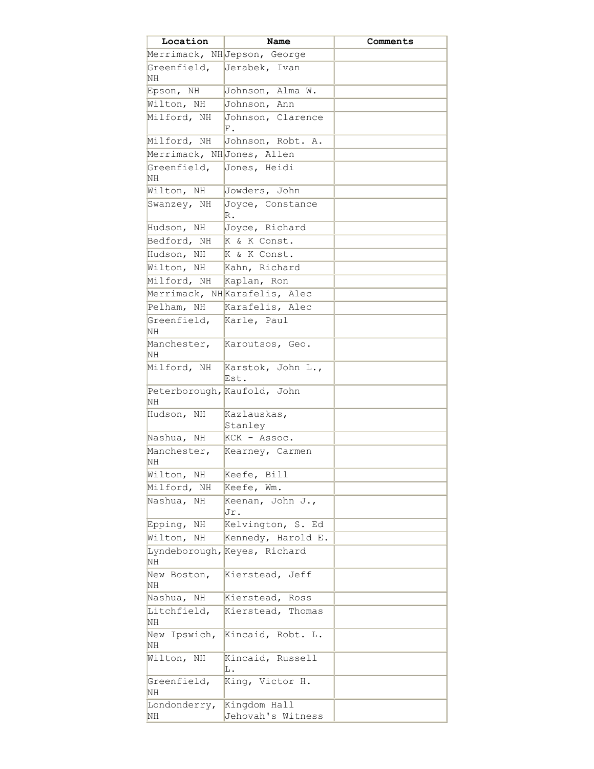| Location                  | Name                              | Comments |
|---------------------------|-----------------------------------|----------|
|                           | Merrimack, NHJepson, George       |          |
| Greenfield,<br>NH         | Jerabek, Ivan                     |          |
| Epson, NH                 | Johnson, Alma W.                  |          |
| Wilton, NH                | Johnson, Ann                      |          |
| Milford, NH               | Johnson, Clarence<br>F.           |          |
| Milford, NH               | Johnson, Robt. A.                 |          |
| Merrimack, NHJones, Allen |                                   |          |
| Greenfield,<br>NH         | Jones, Heidi                      |          |
| Wilton, NH                | Jowders, John                     |          |
| Swanzey, NH               | Joyce, Constance<br>R.            |          |
| Hudson, NH                | Joyce, Richard                    |          |
| Bedford, NH               | K & K Const.                      |          |
| Hudson, NH                | K & K Const.                      |          |
| Wilton, NH                | Kahn, Richard                     |          |
| Milford, NH               | Kaplan, Ron                       |          |
|                           | Merrimack, NHKarafelis, Alec      |          |
| Pelham, NH                | Karafelis, Alec                   |          |
| Greenfield,<br>NH         | Karle, Paul                       |          |
| NH                        | Manchester, Karoutsos, Geo.       |          |
| Milford, NH               | Karstok, John L.,<br>Est.         |          |
| NН                        | Peterborough, Kaufold, John       |          |
| Hudson, NH                | Kazlauskas,<br>Stanley            |          |
| Nashua, NH                | KCK - Assoc.                      |          |
| Manchester,<br>NH         | Kearney, Carmen                   |          |
| Wilton, NH                | Keefe, Bill                       |          |
| Milford, NH               | Keefe, Wm.                        |          |
| Nashua, NH                | Keenan, John J.,<br>Jr.           |          |
| ΝH<br>Epping,             | Kelvington, S. Ed                 |          |
| Wilton,<br>ΝH             | Kennedy, Harold E.                |          |
| NH                        | Lyndeborough, Keyes, Richard      |          |
| New Boston,<br>NH         | Kierstead, Jeff                   |          |
| Nashua, NH                | Kierstead, Ross                   |          |
| Litchfield,<br>NH         | Kierstead, Thomas                 |          |
| New Ipswich,<br>NH        | Kincaid, Robt. L.                 |          |
| Wilton, NH                | Kincaid, Russell<br>L.            |          |
| Greenfield,<br>NH         | King, Victor H.                   |          |
| Londonderry,<br>ΝH        | Kingdom Hall<br>Jehovah's Witness |          |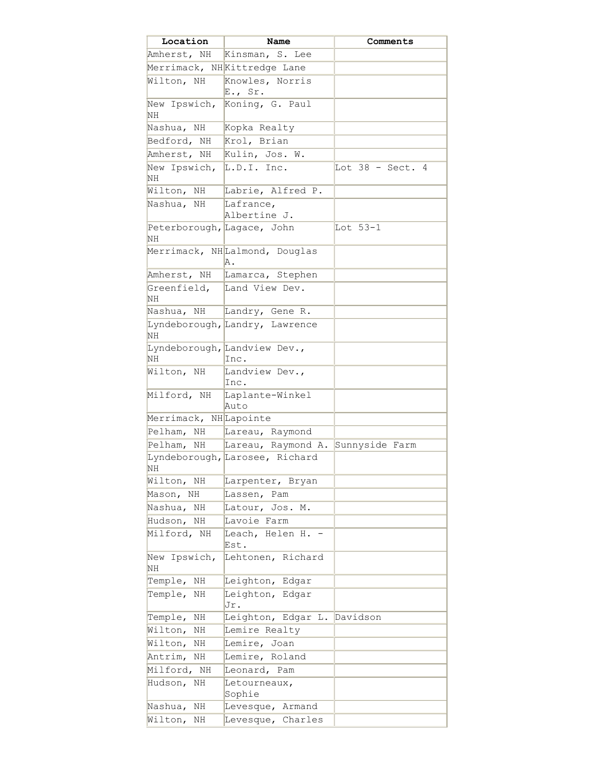| Location                                | Name                                 | Comments                     |
|-----------------------------------------|--------------------------------------|------------------------------|
| Amherst, NH                             | Kinsman, S. Lee                      |                              |
|                                         | Merrimack, NHKittredge Lane          |                              |
| Wilton, NH                              | Knowles, Norris<br>$E.,$ Sr.         |                              |
| New Ipswich,<br>NΗ                      | Koning, G. Paul                      |                              |
| Nashua, NH                              | Kopka Realty                         |                              |
| Bedford, NH                             | Krol, Brian                          |                              |
| Amherst, NH                             | Kulin, Jos. W.                       |                              |
| New Ipswich,<br>ΝH                      | L.D.I. Inc.                          | Lot $38 - \text{Sect.}$<br>4 |
| Wilton, NH                              | Labrie, Alfred P.                    |                              |
| Nashua, NH                              | Lafrance,                            |                              |
|                                         | Albertine J.                         |                              |
| Peterborough, Lagace, John<br><b>NH</b> |                                      | Lot $53-1$                   |
|                                         | Merrimack, NHLalmond, Douglas<br>Α.  |                              |
| Amherst, NH                             | Lamarca, Stephen                     |                              |
| NΗ                                      | Greenfield, Land View Dev.           |                              |
| Nashua, NH                              | Landry, Gene R.                      |                              |
| ΝH                                      | Lyndeborough, Landry, Lawrence       |                              |
| NΗ                                      | Lyndeborough, Landview Dev.,<br>Inc. |                              |
| Wilton, NH                              | Landview Dev.,<br>Inc.               |                              |
| Milford, NH                             | Laplante-Winkel<br>Auto              |                              |
| Merrimack, NHLapointe                   |                                      |                              |
|                                         | Pelham, NH Lareau, Raymond           |                              |
| Pelham,<br>NH                           | Lareau, Raymond A.                   | Sunnyside Farm               |
| NH                                      | Lyndeborough, Larosee, Richard       |                              |
| Wilton, NH                              | Larpenter, Bryan                     |                              |
| Mason, NH                               | Lassen, Pam                          |                              |
| Nashua,<br>ΝH                           | Latour, Jos. M.                      |                              |
| Hudson,<br>ΝH                           | Lavoie Farm                          |                              |
| Milford, NH                             | Leach, Helen H. -<br>Est.            |                              |
| New Ipswich,<br>ΝH                      | Lehtonen, Richard                    |                              |
| Temple, NH                              | Leighton, Edgar                      |                              |
| Temple,<br>ΝH                           | Leighton, Edgar<br>Jr.               |                              |
| Temple,<br>ΝH                           | Leighton, Edgar L. Davidson          |                              |
| Wilton,<br>ΝH                           | Lemire Realty                        |                              |
| Wilton,<br>ΝH                           | Lemire, Joan                         |                              |
| Antrim, NH                              | Lemire, Roland                       |                              |
| Milford, NH                             | Leonard, Pam                         |                              |
| Hudson,<br>ΝH                           | Letourneaux,<br>Sophie               |                              |
| Nashua,<br>ΝH                           | Levesque, Armand                     |                              |
| Wilton,<br>ΝH                           | Levesque, Charles                    |                              |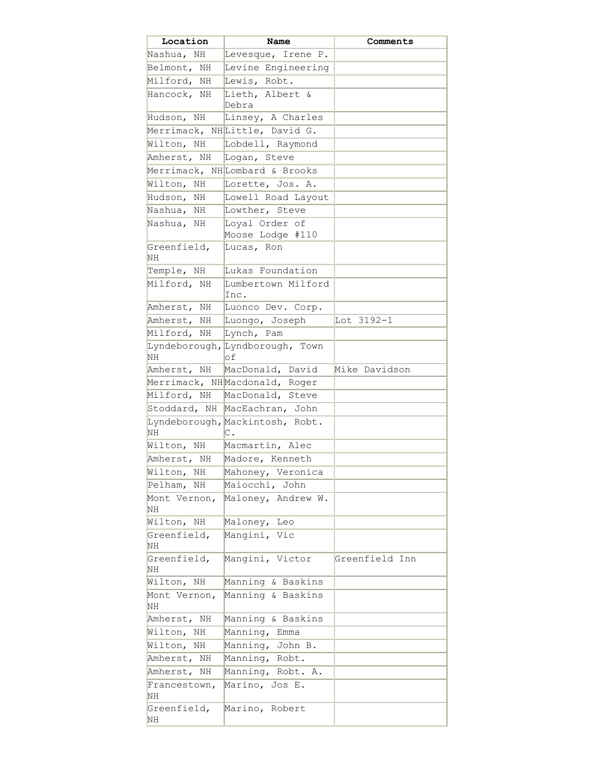| Location           | Name                                  | Comments       |
|--------------------|---------------------------------------|----------------|
| Nashua, NH         | Levesque, Irene P.                    |                |
| Belmont, NH        | Levine Engineering                    |                |
| Milford, NH        | Lewis, Robt.                          |                |
| Hancock, NH        | Lieth, Albert &                       |                |
|                    | Debra                                 |                |
| Hudson, NH         | Linsey, A Charles                     |                |
|                    | Merrimack, NHLittle, David G.         |                |
| Wilton, NH         | Lobdell, Raymond                      |                |
| Amherst, NH        | Logan, Steve                          |                |
|                    | Merrimack, NHLombard & Brooks         |                |
| Wilton, NH         | Lorette, Jos. A.                      |                |
| Hudson, NH         | Lowell Road Layout                    |                |
| Nashua, NH         | Lowther, Steve                        |                |
| Nashua, NH         | Loyal Order of                        |                |
|                    | Moose Lodge #110                      |                |
| Greenfield,<br>ΝH  | Lucas, Ron                            |                |
| Temple, NH         | Lukas Foundation                      |                |
| Milford, NH        | Lumbertown Milford<br>Inc.            |                |
| Amherst, NH        | Luonco Dev. Corp.                     |                |
| Amherst, NH        | Luongo, Joseph                        | Lot 3192-1     |
| Milford, NH        | Lynch, Pam                            |                |
|                    | Lyndeborough, Lyndborough, Town       |                |
| ΝH                 | Ιof                                   |                |
| Amherst, NH        | MacDonald, David                      | Mike Davidson  |
|                    | Merrimack, NHMacdonald, Roger         |                |
|                    | Milford, NH MacDonald, Steve          |                |
|                    | Stoddard, NH MacEachran, John         |                |
| NH                 | Lyndeborough, Mackintosh, Robt.<br>С. |                |
| Wilton, NH         | Macmartin, Alec                       |                |
| Amherst, NH        | Madore, Kenneth                       |                |
| Wilton, NH         | Mahoney, Veronica                     |                |
| Pelham,<br>ΝH      | Maiocchi, John                        |                |
| Mont Vernon,<br>ΝH | Maloney, Andrew W.                    |                |
| Wilton, NH         | Maloney, Leo                          |                |
| Greenfield,<br>NН  | Mangini, Vic                          |                |
| Greenfield,<br>NΗ  | Mangini, Victor                       | Greenfield Inn |
| Wilton, NH         | Manning & Baskins                     |                |
| Mont Vernon,<br>ΝH | Manning & Baskins                     |                |
| Amherst, NH        | Manning & Baskins                     |                |
| Wilton, NH         | Manning, Emma                         |                |
| Wilton, NH         | Manning, John B.                      |                |
| Amherst, NH        | Manning, Robt.                        |                |
| Amherst, NH        | Manning, Robt. A.                     |                |
| Francestown,<br>ΝH | Marino, Jos E.                        |                |
| Greenfield,        | Marino, Robert                        |                |
| NΗ                 |                                       |                |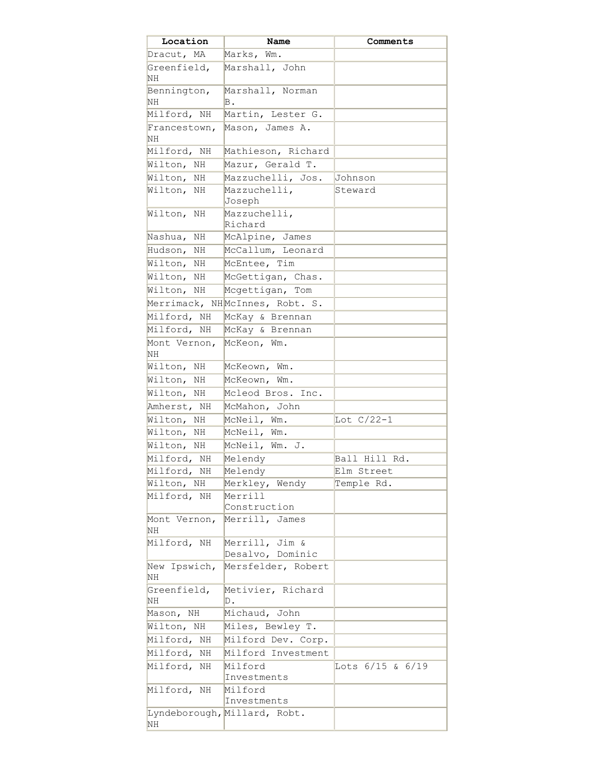| Location           | Name                                   | Comments         |
|--------------------|----------------------------------------|------------------|
| Dracut, MA         | Marks, Wm.                             |                  |
| Greenfield,<br>NH  | Marshall, John                         |                  |
| Bennington,        | Marshall, Norman                       |                  |
| NH                 | Β.                                     |                  |
| Milford, NH        | Martin, Lester G.                      |                  |
| Francestown,<br>NH | Mason, James A.                        |                  |
| Milford, NH        | Mathieson, Richard                     |                  |
| Wilton, NH         | Mazur, Gerald T.                       |                  |
| Wilton, NH         | Mazzuchelli, Jos.                      | Johnson          |
| Wilton, NH         | Mazzuchelli,<br>Joseph                 | Steward          |
| Wilton, NH         | Mazzuchelli,<br>Richard                |                  |
| Nashua,<br>ΝH      | McAlpine, James                        |                  |
| Hudson,<br>ΝH      | McCallum, Leonard                      |                  |
| Wilton,<br>NH      | McEntee, Tim                           |                  |
| Wilton, NH         | McGettigan, Chas.                      |                  |
| Wilton, NH         | Mcgettigan, Tom                        |                  |
|                    | Merrimack, NHMcInnes, Robt. S.         |                  |
| Milford, NH        | McKay & Brennan                        |                  |
| Milford, NH        | McKay & Brennan                        |                  |
| Mont Vernon,       | McKeon, Wm.                            |                  |
| NH                 |                                        |                  |
| Wilton,<br>ΝH      | McKeown, Wm.                           |                  |
| Wilton,<br>ΝH      | McKeown, Wm.                           |                  |
| Wilton, NH         | Mcleod Bros. Inc.                      |                  |
| Amherst, NH        | McMahon, John                          |                  |
| Wilton, NH         | McNeil, Wm.                            | Lot $C/22-1$     |
| Wilton,<br>ΝH      | McNeil, Wm.                            |                  |
| Wilton, NH         | McNeil, Wm. J.                         |                  |
| Milford, NH        | Melendy                                | Ball Hill Rd.    |
| Milford, NH        | Melendy                                | Elm Street       |
| Wilton, NH         | Merkley, Wendy                         | Temple Rd.       |
| Milford, NH        | Merrill                                |                  |
|                    | Construction                           |                  |
| Mont Vernon,<br>NH | Merrill, James                         |                  |
| Milford, NH        | Merrill, Jim &                         |                  |
| New Ipswich,       | Desalvo, Dominic<br>Mersfelder, Robert |                  |
| ΝH<br>Greenfield,  | Metivier, Richard                      |                  |
| ΝH                 | D.                                     |                  |
| Mason, NH          | Michaud, John                          |                  |
| Wilton, NH         | Miles, Bewley T.                       |                  |
| Milford, NH        | Milford Dev. Corp.                     |                  |
| Milford, NH        | Milford Investment                     |                  |
| Milford, NH        | Milford<br>Investments                 | Lots 6/15 & 6/19 |
| Milford, NH        | Milford                                |                  |
|                    | Investments                            |                  |
| ΝH                 | Lyndeborough, Millard, Robt.           |                  |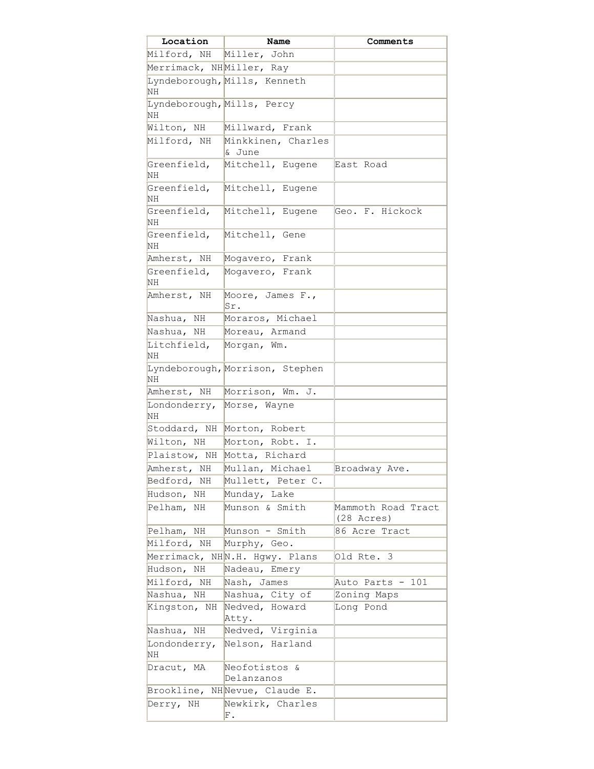| Location                                | Name                            | Comments             |
|-----------------------------------------|---------------------------------|----------------------|
| Milford, NH Miller, John                |                                 |                      |
| Merrimack, NHMiller, Ray                |                                 |                      |
| NΗ                                      | Lyndeborough, Mills, Kenneth    |                      |
| Lyndeborough, Mills, Percy<br><b>NH</b> |                                 |                      |
| Wilton, NH                              | Millward, Frank                 |                      |
| Milford, NH                             | Minkkinen, Charles              |                      |
|                                         | & June                          |                      |
| Greenfield,<br><b>NH</b>                | Mitchell, Eugene                | East Road            |
| Greenfield,<br><b>NH</b>                | Mitchell, Eugene                |                      |
| Greenfield,<br>NH                       | Mitchell, Eugene                | Geo. F. Hickock      |
| Greenfield,<br>NH                       | Mitchell, Gene                  |                      |
| Amherst, NH                             | Mogavero, Frank                 |                      |
| Greenfield,<br>ΝH                       | Mogavero, Frank                 |                      |
| Amherst, NH                             | Moore, James F.,<br>Sr.         |                      |
| Nashua, NH                              | Moraros, Michael                |                      |
| Nashua, NH                              | Moreau, Armand                  |                      |
| Litchfield,<br><b>NH</b>                | Morgan, Wm.                     |                      |
| NH                                      | Lyndeborough, Morrison, Stephen |                      |
| Amherst, NH                             | Morrison, Wm. J.                |                      |
| Londonderry,<br>NΗ                      | Morse, Wayne                    |                      |
| Stoddard, NH                            | Morton, Robert                  |                      |
| Wilton, NH                              | Morton, Robt. I.                |                      |
|                                         | Plaistow, NH Motta, Richard     |                      |
| Amherst, NH                             | Mullan, Michael                 | Broadway Ave.        |
| Bedford, NH                             | Mullett, Peter C.               |                      |
| Hudson, NH                              | Munday, Lake                    |                      |
| Pelham,<br>ΝH                           | Munson & Smith                  | Mammoth Road Tract   |
|                                         |                                 | $(28 \text{ Acres})$ |
| Pelham, NH                              | Munson - Smith                  | 86 Acre Tract        |
| Milford, NH                             | Murphy, Geo.                    |                      |
|                                         | Merrimack, NHN.H. Hgwy. Plans   | Old Rte. 3           |
| Hudson, NH                              | Nadeau, Emery                   |                      |
| Milford, NH                             | Nash, James                     | Auto Parts - 101     |
| Nashua, NH                              | Nashua, City of                 | Zoning Maps          |
| Kingston, NH                            | Nedved, Howard<br>Atty.         | Long Pond            |
| Nashua, NH                              | Nedved, Virginia                |                      |
| Londonderry,<br>NΗ                      | Nelson, Harland                 |                      |
| Dracut, MA                              | Neofotistos &                   |                      |
|                                         | Delanzanos                      |                      |
| Brookline,                              | NHNevue, Claude E.              |                      |
| Derry, NH                               | Newkirk, Charles                |                      |
|                                         | F.                              |                      |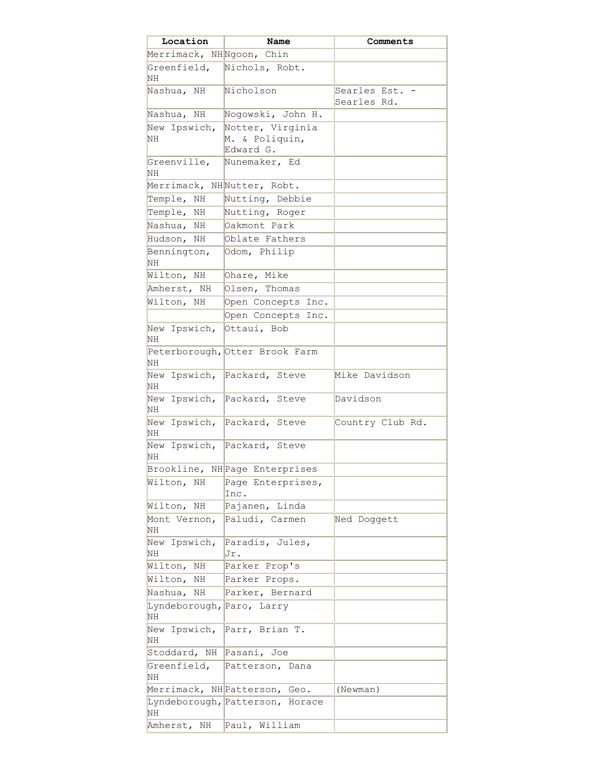| Location                        | Name                            | Comments                      |
|---------------------------------|---------------------------------|-------------------------------|
| Merrimack, NHNgoon, Chin        |                                 |                               |
| Greenfield,<br>ΝH               | Nichols, Robt.                  |                               |
| Nashua, NH                      | Nicholson                       | Searles Est. .<br>Searles Rd. |
| Nashua, NH                      | Nogowski, John H.               |                               |
| New Ipswich,                    | Notter, Virginia                |                               |
| NH                              | M. & Poliquin,<br>Edward G.     |                               |
| Greenville,<br>ΝH               | Nunemaker, Ed                   |                               |
| Merrimack, NHNutter, Robt.      |                                 |                               |
| Temple, NH                      | Nutting, Debbie                 |                               |
| Temple, NH                      | Nutting, Roger                  |                               |
| Nashua, NH                      | Oakmont Park                    |                               |
| Hudson, NH                      | Oblate Fathers                  |                               |
| Bennington,<br>ΝH               | Odom, Philip                    |                               |
| Wilton, NH                      | Ohare, Mike                     |                               |
| Amherst, NH                     | Olsen, Thomas                   |                               |
| Wilton, NH                      | Open Concepts Inc.              |                               |
|                                 | Open Concepts Inc.              |                               |
| New Ipswich,<br>ΝH              | Ottaui, Bob                     |                               |
| ΝH                              | Peterborough, Otter Brook Farm  |                               |
| ΝH                              | New Ipswich, Packard, Steve     | Mike Davidson                 |
| NH                              | New Ipswich, Packard, Steve     | Davidson                      |
| NH                              | New Ipswich, Packard, Steve     | Country Club Rd.              |
| ΝH                              | New Ipswich, Packard, Steve     |                               |
|                                 | Brookline, NH Page Enterprises  |                               |
| Wilton, NH                      | Page Enterprises,<br>Inc.       |                               |
| Wilton, NH                      | Pajanen, Linda                  |                               |
| Mont Vernon,<br>ΝH              | Paludi, Carmen                  | Ned Doggett                   |
| New Ipswich,<br>NΗ              | Paradis, Jules,<br>Jr.          |                               |
| Wilton,<br>ΝH                   | Parker Prop's                   |                               |
| Wilton,<br>ΝH                   | Parker Props.                   |                               |
| Nashua,<br>ΝH                   | Parker, Bernard                 |                               |
| Lyndeborough, Paro, Larry<br>NH |                                 |                               |
| New Ipswich,<br>ΝH              | Parr, Brian T.                  |                               |
| Stoddard, NH                    | Pasani, Joe                     |                               |
| Greenfield,<br>NH               | Patterson, Dana                 |                               |
|                                 | Merrimack, NH Patterson, Geo.   | (Newman)                      |
| ΝH                              | Lyndeborough, Patterson, Horace |                               |
| Amherst, NH                     | Paul, William                   |                               |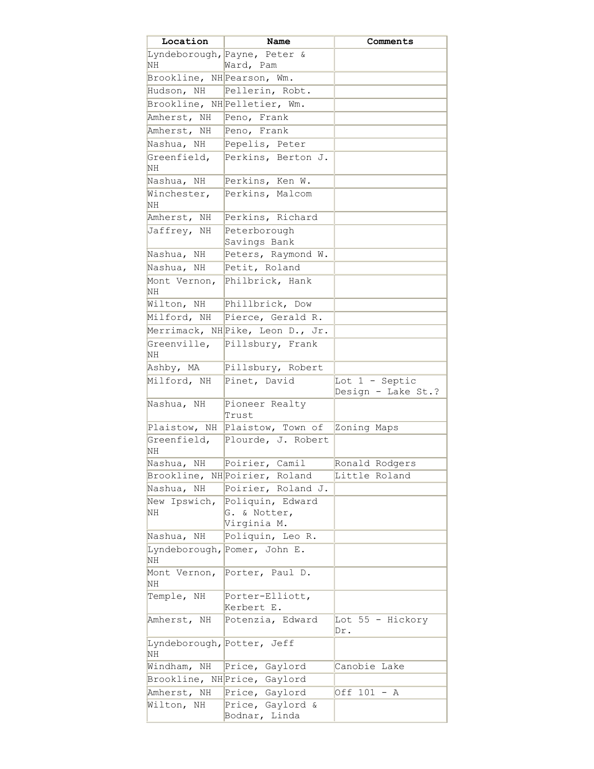| Location                         | Name                                            | Comments                               |
|----------------------------------|-------------------------------------------------|----------------------------------------|
|                                  | Lyndeborough, Payne, Peter &                    |                                        |
| NΗ                               | Ward, Pam                                       |                                        |
| Brookline, NH Pearson, Wm.       |                                                 |                                        |
| Hudson, NH                       | Pellerin, Robt.                                 |                                        |
|                                  | Brookline, NH Pelletier, Wm.                    |                                        |
| Amherst, NH                      | Peno, Frank                                     |                                        |
| Amherst, NH                      | Peno, Frank                                     |                                        |
| Nashua, NH                       | Pepelis, Peter                                  |                                        |
| Greenfield,<br>NH                | Perkins, Berton J.                              |                                        |
| Nashua, NH                       | Perkins, Ken W.                                 |                                        |
| Winchester,<br>NΗ                | Perkins, Malcom                                 |                                        |
| Amherst, NH                      | Perkins, Richard                                |                                        |
| Jaffrey, NH                      | Peterborough<br>Savings Bank                    |                                        |
| Nashua, NH                       | Peters, Raymond W.                              |                                        |
| Nashua, NH                       | Petit, Roland                                   |                                        |
| Mont Vernon,<br>ΝH               | Philbrick, Hank                                 |                                        |
| Wilton, NH                       | Phillbrick, Dow                                 |                                        |
| Milford, NH                      | Pierce, Gerald R.                               |                                        |
|                                  | Merrimack, NH Pike, Leon D., Jr.                |                                        |
| Greenville,<br>ΝH                | Pillsbury, Frank                                |                                        |
| Ashby, MA                        | Pillsbury, Robert                               |                                        |
| Milford, NH                      | Pinet, David                                    | Lot $1 -$ Septic<br>Design - Lake St.? |
| Nashua, NH                       | Pioneer Realty<br>Trust                         |                                        |
| Plaistow, NH                     | Plaistow, Town of                               | Zoning Maps                            |
| Greenfield,<br>ΝH                | Plourde, J. Robert                              |                                        |
| Nashua, NH                       | Poirier, Camil                                  | Ronald Rodgers                         |
|                                  | Brookline, NH Poirier, Roland                   | Little Roland                          |
| Nashua, NH                       | Poirier, Roland J.                              |                                        |
| New Ipswich,<br>NH               | Poliquin, Edward<br>G. & Notter,<br>Virginia M. |                                        |
| Nashua, NH                       | Poliquin, Leo R.                                |                                        |
| ΝH                               | Lyndeborough, Pomer, John E.                    |                                        |
| Mont Vernon,<br>NΗ               | Porter, Paul D.                                 |                                        |
| Temple, NH                       | Porter-Elliott,<br>Kerbert E.                   |                                        |
| Amherst, NH                      | Potenzia, Edward                                | Lot 55 - Hickory<br>Dr.                |
| Lyndeborough, Potter, Jeff<br>ΝH |                                                 |                                        |
| Windham,<br>ΝH                   | Price, Gaylord                                  | Canobie Lake                           |
|                                  | Brookline, NH Price, Gaylord                    |                                        |
| Amherst, NH                      | Price, Gaylord                                  | Off 101 - A                            |
| Wilton, NH                       | Price, Gaylord &                                |                                        |
|                                  | Bodnar, Linda                                   |                                        |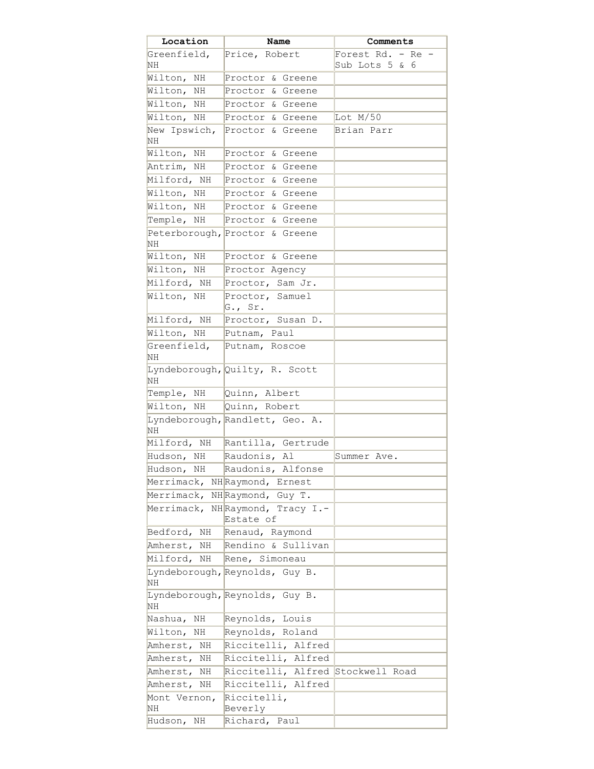| Location                 | Name                                         | Comments                               |
|--------------------------|----------------------------------------------|----------------------------------------|
| Greenfield,<br>NΗ        | Price, Robert                                | Forest Rd. - Re -<br>Sub Lots $5 \& 6$ |
| Wilton, NH               | Proctor & Greene                             |                                        |
| Wilton, NH               | Proctor & Greene                             |                                        |
| Wilton, NH               | Proctor & Greene                             |                                        |
| Wilton, NH               | Proctor & Greene                             | Lot M/50                               |
| New Ipswich,             | Proctor & Greene                             | Brian Parr                             |
| ΝH                       |                                              |                                        |
| Wilton, NH               | Proctor & Greene                             |                                        |
| Antrim, NH               | Proctor & Greene                             |                                        |
| Milford, NH              | Proctor & Greene                             |                                        |
| Wilton, NH               | Proctor & Greene                             |                                        |
| Wilton, NH               | Proctor & Greene                             |                                        |
| Temple, NH               | Proctor & Greene                             |                                        |
| ΝH                       | Peterborough, Proctor & Greene               |                                        |
| Wilton,<br>ΝH            | Proctor & Greene                             |                                        |
| Wilton, NH               | Proctor Agency                               |                                        |
| Milford, NH              | Proctor, Sam Jr.                             |                                        |
| Wilton, NH               | Proctor, Samuel<br>$G.$ , Sr.                |                                        |
| Milford, NH              | Proctor, Susan D.                            |                                        |
| Wilton, NH               | Putnam, Paul                                 |                                        |
| Greenfield,<br><b>NH</b> | Putnam, Roscoe                               |                                        |
| <b>NH</b>                | Lyndeborough, Quilty, R. Scott               |                                        |
| Temple, NH               | Quinn, Albert                                |                                        |
| Wilton, NH               | Quinn, Robert                                |                                        |
| ΝH                       | Lyndeborough, Randlett, Geo. A.              |                                        |
| Milford, NH              | Rantilla, Gertrude                           |                                        |
| Hudson, NH               | Raudonis, Al                                 | Summer Ave.                            |
| Hudson, NH               | Raudonis, Alfonse                            |                                        |
|                          | Merrimack, NHRaymond, Ernest                 |                                        |
|                          | Merrimack, NHRaymond, Guy T.                 |                                        |
|                          | Merrimack, NHRaymond, Tracy I.-<br>Estate of |                                        |
|                          | Bedford, NH Renaud, Raymond                  |                                        |
| Amherst,<br>NH           | Rendino & Sullivan                           |                                        |
|                          | Milford, NH Rene, Simoneau                   |                                        |
| <b>NH</b>                | Lyndeborough, Reynolds, Guy B.               |                                        |
| NH                       | Lyndeborough, Reynolds, Guy B.               |                                        |
| Nashua,<br>ΝH            | Reynolds, Louis                              |                                        |
| Wilton, NH               | Reynolds, Roland                             |                                        |
| Amherst, NH              | Riccitelli, Alfred                           |                                        |
| Amherst, NH              | Riccitelli, Alfred                           |                                        |
| Amherst,<br>NH           | Riccitelli, Alfred Stockwell Road            |                                        |
| Amherst, NH              | Riccitelli, Alfred                           |                                        |
| Mont Vernon,             | Riccitelli,                                  |                                        |
| NH                       | Beverly                                      |                                        |
| Hudson,<br>ΝH            | Richard, Paul                                |                                        |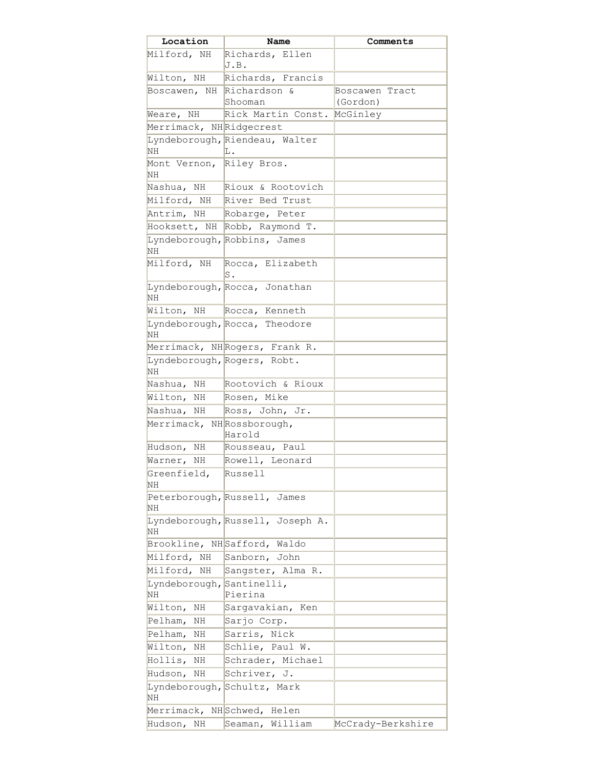| Location                        | Name                             | Comments          |
|---------------------------------|----------------------------------|-------------------|
| Milford, NH                     | Richards, Ellen<br>J.B.          |                   |
| Wilton, NH                      | Richards, Francis                |                   |
| Boscawen, NH Richardson &       |                                  | Boscawen Tract    |
|                                 | Shooman                          | (Gordon)          |
| Weare, NH                       | Rick Martin Const.               | McGinley          |
| Merrimack, NHRidgecrest         |                                  |                   |
|                                 | Lyndeborough, Riendeau, Walter   |                   |
| NH                              | L.                               |                   |
| Mont Vernon, Riley Bros.<br>NH  |                                  |                   |
| Nashua, NH                      | Rioux & Rootovich                |                   |
|                                 | Milford, NH River Bed Trust      |                   |
| Antrim, NH                      | Robarge, Peter                   |                   |
|                                 | Hooksett, NH Robb, Raymond T.    |                   |
| NH                              | Lyndeborough, Robbins, James     |                   |
| Milford, NH                     | Rocca, Elizabeth<br>S.           |                   |
| ΝH                              | Lyndeborough, Rocca, Jonathan    |                   |
|                                 | Wilton, NH Rocca, Kenneth        |                   |
| NΗ                              | Lyndeborough, Rocca, Theodore    |                   |
|                                 | Merrimack, NHRogers, Frank R.    |                   |
| NH                              | Lyndeborough, Rogers, Robt.      |                   |
| Nashua, NH                      | Rootovich & Rioux                |                   |
| Wilton,<br>NH                   | Rosen, Mike                      |                   |
| Nashua, NH                      | Ross, John, Jr.                  |                   |
| Merrimack, NHRossborough,       | Harold                           |                   |
| Hudson, NH                      | Rousseau, Paul                   |                   |
| Warner, NH                      | Rowell, Leonard                  |                   |
| Greenfield,                     | Russell                          |                   |
| NH                              |                                  |                   |
| NH                              | Peterborough, Russell, James     |                   |
| NH                              | Lyndeborough, Russell, Joseph A. |                   |
| Brookline,                      | NHSafford, Waldo                 |                   |
| Milford, NH                     | Sanborn, John                    |                   |
| Milford, NH                     | Sangster, Alma R.                |                   |
| Lyndeborough, Santinelli,<br>ΝH | Pierina                          |                   |
| Wilton,<br>ΝH                   | Sargavakian, Ken                 |                   |
| Pelham,<br>ΝH                   | Sarjo Corp.                      |                   |
| Pelham,<br>ΝH                   | Sarris, Nick                     |                   |
| Wilton,<br>ΝH                   | Schlie, Paul W.                  |                   |
| Hollis,<br>ΝH                   | Schrader, Michael                |                   |
| Hudson,<br>ΝH                   | Schriver, J.                     |                   |
|                                 | Lyndeborough, Schultz, Mark      |                   |
| ΝH                              |                                  |                   |
| Merrimack,                      | NHSchwed, Helen                  |                   |
| Hudson, NH                      | Seaman, William                  | McCrady-Berkshire |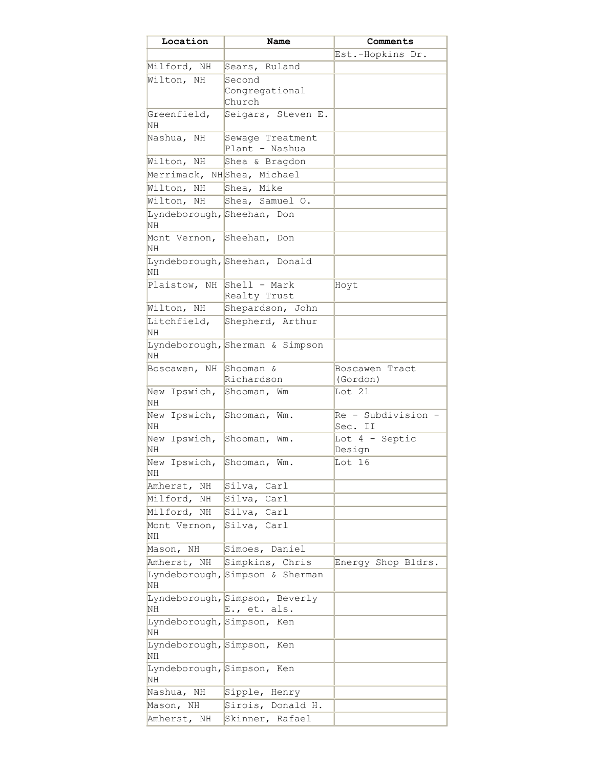| Location                                | Name                                           | Comments                      |
|-----------------------------------------|------------------------------------------------|-------------------------------|
|                                         |                                                | Est.-Hopkins Dr.              |
| Milford, NH                             | Sears, Ruland                                  |                               |
| Wilton, NH                              | Second                                         |                               |
|                                         | Congregational                                 |                               |
|                                         | Church                                         |                               |
| Greenfield,                             | Seigars, Steven E.                             |                               |
| NΗ                                      |                                                |                               |
| Nashua, NH                              | Sewage Treatment                               |                               |
|                                         | Plant - Nashua                                 |                               |
| Wilton, NH                              | Shea & Bragdon                                 |                               |
|                                         | Merrimack, NHShea, Michael                     |                               |
| Wilton,<br>ΝH                           | Shea, Mike                                     |                               |
| Wilton, NH                              | Shea, Samuel O.                                |                               |
| Lyndeborough, Sheehan, Don<br><b>NH</b> |                                                |                               |
| Mont Vernon,<br>ΝH                      | Sheehan, Don                                   |                               |
|                                         | Lyndeborough, Sheehan, Donald                  |                               |
| NΗ                                      |                                                |                               |
| Plaistow, NH                            | Shell - Mark                                   | Hoyt                          |
|                                         | Realty Trust                                   |                               |
| Wilton, NH                              | Shepardson, John                               |                               |
| Litchfield,                             | Shepherd, Arthur                               |                               |
| ΝH                                      |                                                |                               |
| ΝH                                      | Lyndeborough, Sherman & Simpson                |                               |
| Boscawen, NH                            | Shooman &                                      | Boscawen Tract                |
|                                         | Richardson                                     | (Gordon)                      |
| New Ipswich,<br>NΗ                      | Shooman, Wm                                    | Lot 21                        |
| New<br>Ipswich,<br>NΗ                   | Shooman, Wm.                                   | Re - Subdivision -<br>Sec. II |
| New<br>Ipswich,<br>NΗ                   | Shooman,<br>Wm.                                | Lot $4$ - Septic<br>Design    |
| New Ipswich,<br>NΗ                      | Shooman, Wm.                                   | Lot 16                        |
| Amherst, NH                             | Carl<br>Silva,                                 |                               |
| Milford, NH                             | Carl<br>Silva,                                 |                               |
| Milford, NH                             | Silva, Carl                                    |                               |
| Mont Vernon,<br>ΝH                      | Silva, Carl                                    |                               |
| Mason, NH                               | Simoes, Daniel                                 |                               |
| Amherst, NH                             | Simpkins, Chris                                | Energy Shop Bldrs.            |
|                                         | Lyndeborough, Simpson & Sherman                |                               |
| NΗ                                      |                                                |                               |
| NΗ                                      | Lyndeborough, Simpson, Beverly<br>E., et. als. |                               |
| Lyndeborough, Simpson, Ken              |                                                |                               |
| NΗ                                      |                                                |                               |
| Lyndeborough, Simpson, Ken<br><b>NH</b> |                                                |                               |
| Lyndeborough, Simpson, Ken<br><b>NH</b> |                                                |                               |
| Nashua, NH                              | Sipple, Henry                                  |                               |
| NH<br>Mason,                            | Sirois, Donald H.                              |                               |
| Amherst, NH                             | Skinner, Rafael                                |                               |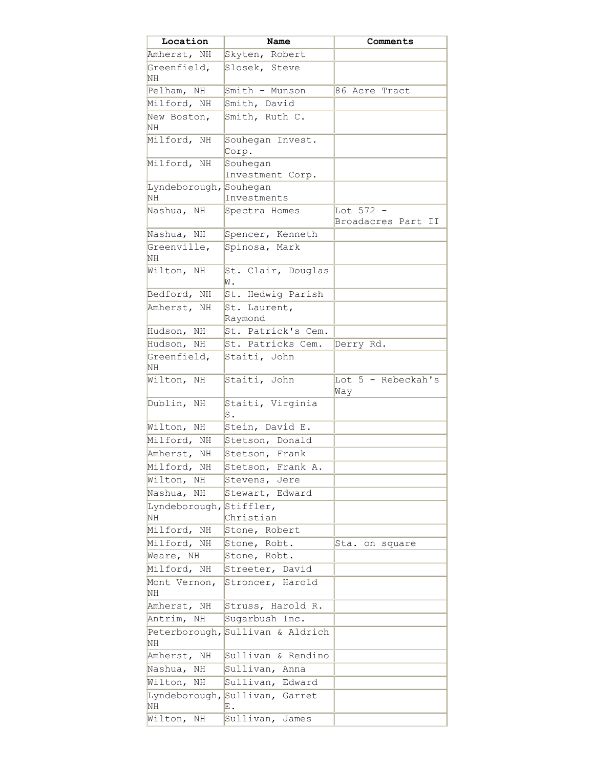| Location               | Name                             | Comments                        |
|------------------------|----------------------------------|---------------------------------|
| Amherst, NH            | Skyten, Robert                   |                                 |
| Greenfield,<br>ΝH      | Slosek, Steve                    |                                 |
| Pelham, NH             | Smith - Munson                   | 86 Acre Tract                   |
| Milford, NH            | Smith, David                     |                                 |
| New Boston,            | Smith, Ruth C.                   |                                 |
| ΝH                     |                                  |                                 |
| Milford, NH            | Souhegan Invest.<br>Corp.        |                                 |
| Milford, NH            | Souhegan<br>Investment Corp.     |                                 |
| Lyndeborough, Souhegan |                                  |                                 |
| ΝH                     | Investments                      |                                 |
| Nashua, NH             | Spectra Homes                    | Lot 572 -<br>Broadacres Part II |
| Nashua, NH             | Spencer, Kenneth                 |                                 |
| Greenville,<br>ΝH      | Spinosa, Mark                    |                                 |
| Wilton, NH             | St. Clair, Douglas<br>W.         |                                 |
| Bedford, NH            | St. Hedwig Parish                |                                 |
| Amherst, NH            | St. Laurent,<br>Raymond          |                                 |
| Hudson, NH             | St. Patrick's Cem.               |                                 |
| Hudson, NH             | St. Patricks Cem.                | Derry Rd.                       |
| Greenfield,<br>NΗ      | Staiti, John                     |                                 |
| Wilton, NH             | Staiti, John                     | Lot 5 - Rebeckah's<br>Way       |
| Dublin, NH             | Staiti, Virginia<br>s.           |                                 |
| Wilton, NH             | Stein, David E.                  |                                 |
| Milford, NH            | Stetson, Donald                  |                                 |
| Amherst, NH            | Stetson, Frank                   |                                 |
| Milford,<br>NH         | Stetson, Frank A.                |                                 |
| Wilton, NH             | Stevens, Jere                    |                                 |
| Nashua, NH             | Stewart, Edward                  |                                 |
| Lyndeborough,<br>ΝH    | Stiffler,<br>Christian           |                                 |
| Milford, NH            | Stone, Robert                    |                                 |
| Milford, NH            | Stone, Robt.                     | Sta.<br>on square               |
| Weare, NH              | Stone, Robt.                     |                                 |
| Milford, NH            | Streeter, David                  |                                 |
| Mont Vernon,<br>ΝH     | Stroncer, Harold                 |                                 |
| Amherst, NH            | Struss, Harold R.                |                                 |
| Antrim, NH             | Sugarbush Inc.                   |                                 |
| ΝH                     | Peterborough, Sullivan & Aldrich |                                 |
| Amherst, NH            | Sullivan & Rendino               |                                 |
| Nashua, NH             | Sullivan, Anna                   |                                 |
| Wilton,<br>ΝH          | Sullivan, Edward                 |                                 |
| Lyndeborough,          | Sullivan, Garret                 |                                 |
| ΝH                     | Ε.                               |                                 |
| Wilton,<br>ΝH          | Sullivan,<br>James               |                                 |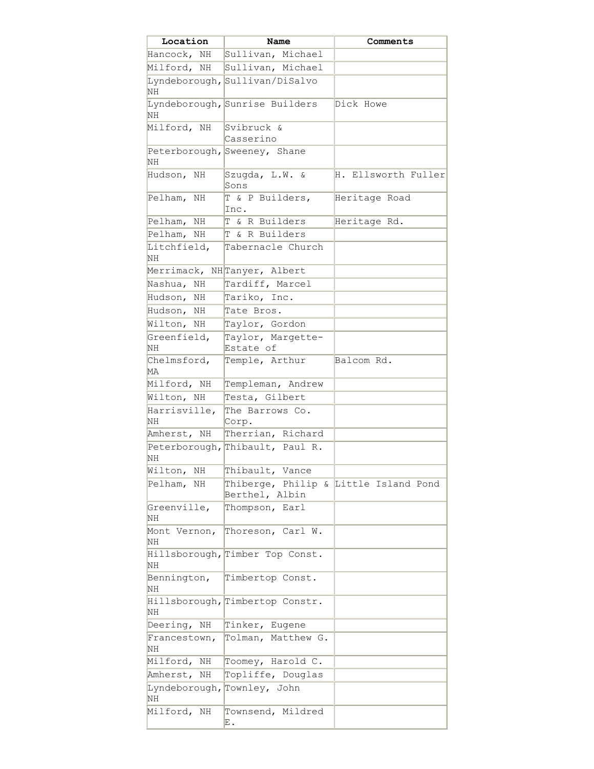| Location                 | Name                                                    | Comments            |
|--------------------------|---------------------------------------------------------|---------------------|
| Hancock, NH              | Sullivan,<br>Michael                                    |                     |
| Milford, NH              | Sullivan, Michael                                       |                     |
| <b>NH</b>                | Lyndeborough, Sullivan/DiSalvo                          |                     |
| <b>NH</b>                | Lyndeborough, Sunrise Builders                          | Dick Howe           |
| Milford, NH              | Svibruck &<br>Casserino                                 |                     |
| NH                       | Peterborough, Sweeney, Shane                            |                     |
| Hudson, NH               | Szugda, L.W. &<br>Sons                                  | H. Ellsworth Fuller |
| Pelham, NH               | T & P Builders,<br>Inc.                                 | Heritage Road       |
| Pelham,<br>ΝH            | T & R Builders                                          | Heritage Rd.        |
| Pelham,<br>NH            | T & R Builders                                          |                     |
| Litchfield,<br>ΝH        | Tabernacle Church                                       |                     |
| Merrimack,               | NHTanyer, Albert                                        |                     |
| Nashua,<br>ΝH            | Tardiff, Marcel                                         |                     |
| Hudson,<br>ΝH            | Tariko, Inc.                                            |                     |
| Hudson, NH               | Tate Bros.                                              |                     |
| Wilton, NH               | Taylor, Gordon                                          |                     |
| Greenfield,<br>NH        | Taylor, Margette-<br>Estate of                          |                     |
| Chelmsford,<br><b>MA</b> | Temple, Arthur                                          | Balcom Rd.          |
| Milford, NH              | Templeman, Andrew                                       |                     |
| Wilton, NH               | Testa, Gilbert                                          |                     |
| Harrisville,             | The Barrows Co.                                         |                     |
| ΝH                       | Corp.                                                   |                     |
| Amherst, NH              | Therrian, Richard                                       |                     |
| NH                       | Peterborough, Thibault, Paul R.                         |                     |
| Wilton, NH               | Thibault, Vance                                         |                     |
| Pelham, NH               | Thiberge, Philip & Little Island Pond<br>Berthel, Albin |                     |
| Greenville,<br>ΝH        | Thompson, Earl                                          |                     |
| Mont Vernon,<br>NH       | Thoreson, Carl W.                                       |                     |
| NH                       | Hillsborough, Timber Top Const.                         |                     |
| Bennington,<br>NH        | Timbertop Const.                                        |                     |
| ΝH                       | Hillsborough, Timbertop Constr.                         |                     |
| Deering, NH              | Tinker, Eugene                                          |                     |
| Francestown,<br>ΝH       | Tolman, Matthew G.                                      |                     |
| Milford, NH              | Toomey, Harold C.                                       |                     |
| Amherst,<br>ΝH           | Topliffe, Douglas                                       |                     |
| Lyndeborough,<br>NH      | Townley, John                                           |                     |
| Milford, NH              | Townsend, Mildred<br>Ε.                                 |                     |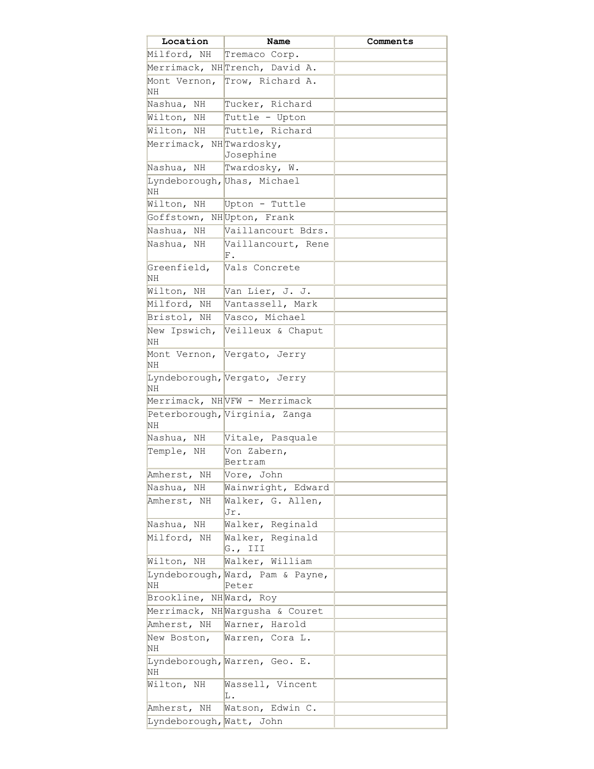| Location                  | Name                                      | Comments |
|---------------------------|-------------------------------------------|----------|
| Milford, NH               | Tremaco Corp.                             |          |
|                           | Merrimack, NHTrench, David A.             |          |
| <b>NH</b>                 | Mont Vernon, Trow, Richard A.             |          |
| Nashua, NH                | Tucker, Richard                           |          |
| Wilton,<br>NH             | Tuttle - Upton                            |          |
| Wilton, NH                | Tuttle, Richard                           |          |
| Merrimack, NHTwardosky,   |                                           |          |
|                           | Josephine                                 |          |
| Nashua, NH                | Twardosky, W.                             |          |
| NH                        | Lyndeborough, Uhas, Michael               |          |
| Wilton, NH                | Upton - Tuttle                            |          |
| Goffstown,                | NHUpton, Frank                            |          |
| Nashua, NH                | Vaillancourt Bdrs.                        |          |
| Nashua, NH                | Vaillancourt, Rene                        |          |
|                           | F.                                        |          |
| Greenfield,<br><b>NH</b>  | Vals Concrete                             |          |
| Wilton, NH                | Van Lier, J. J.                           |          |
| Milford, NH               | Vantassell, Mark                          |          |
| Bristol, NH               | Vasco, Michael                            |          |
| New Ipswich,              | Veilleux & Chaput                         |          |
| NН                        |                                           |          |
| Mont Vernon,<br><b>NH</b> | Vergato, Jerry                            |          |
| <b>NH</b>                 | Lyndeborough, Vergato, Jerry              |          |
|                           | Merrimack, NHVFW - Merrimack              |          |
| <b>NH</b>                 | Peterborough, Virginia, Zanga             |          |
| Nashua, NH                | Vitale, Pasquale                          |          |
| Temple, NH                | Von Zabern,<br>Bertram                    |          |
| Amherst, NH               | Vore, John                                |          |
| Nashua, NH                | Wainwright, Edward                        |          |
| Amherst, NH               | Walker, G. Allen,<br>Jr.                  |          |
| Nashua, NH                | Walker, Reginald                          |          |
| Milford, NH               | Walker, Reginald<br>G., III               |          |
| Wilton, NH                | Walker, William                           |          |
| NH                        | Lyndeborough, Ward, Pam & Payne,<br>Peter |          |
| Brookline, NHWard, Roy    |                                           |          |
|                           | Merrimack, NHWargusha & Couret            |          |
| Amherst, NH               | Warner, Harold                            |          |
| New Boston,<br>ΝH         | Warren, Cora L.                           |          |
| NH                        | Lyndeborough, Warren, Geo. E.             |          |
| Wilton, NH                | Wassell, Vincent<br>L.                    |          |
| Amherst, NH               | Watson, Edwin C.                          |          |
| Lyndeborough, Watt, John  |                                           |          |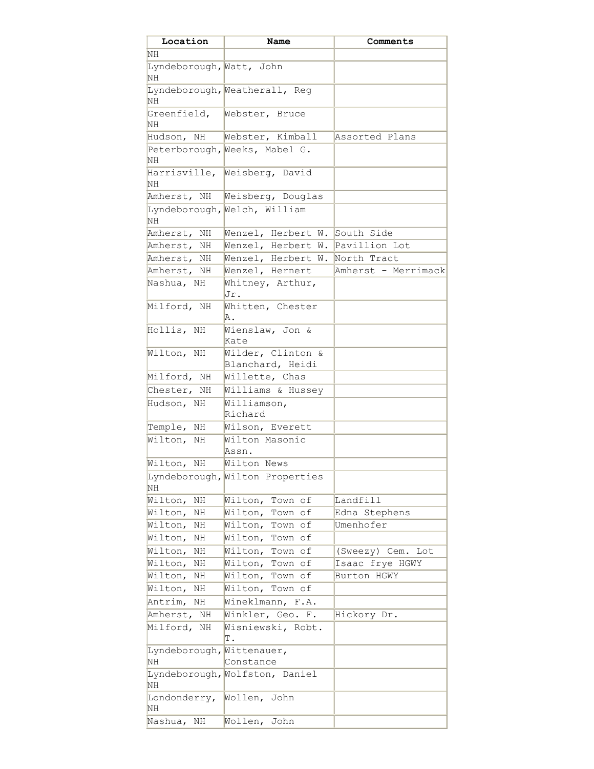| Location                        | Name                                        | Comments            |
|---------------------------------|---------------------------------------------|---------------------|
| ΝH                              |                                             |                     |
| Lyndeborough, Watt, John<br>ΝH  |                                             |                     |
| NΗ                              | Lyndeborough, Weatherall, Reg               |                     |
| Greenfield,<br>ΝH               | Webster, Bruce                              |                     |
|                                 | Hudson, NH   Webster, Kimball               | Assorted Plans      |
| NΗ                              | Peterborough, Weeks, Mabel G.               |                     |
| NΗ                              | Harrisville, Weisberg, David                |                     |
| Amherst, NH                     | Weisberg, Douglas                           |                     |
| NΗ                              | Lyndeborough, Welch, William                |                     |
| Amherst, NH                     | Wenzel, Herbert W. South Side               |                     |
| Amherst, NH                     | Wenzel, Herbert W. Pavillion Lot            |                     |
| Amherst, NH                     | Wenzel, Herbert W. <mark>North Tract</mark> |                     |
| Amherst, NH                     | Wenzel, Hernert                             | Amherst - Merrimack |
| Nashua, NH                      | Whitney, Arthur,<br>Jr.                     |                     |
| Milford, NH                     | Whitten, Chester<br>Α.                      |                     |
| Hollis, NH                      | Wienslaw, Jon &<br>Kate                     |                     |
| Wilton, NH                      | Wilder, Clinton &<br>Blanchard, Heidi       |                     |
| Milford, NH                     | Willette, Chas                              |                     |
| Chester, NH                     | Williams & Hussey                           |                     |
| Hudson, NH                      | Williamson,<br>Richard                      |                     |
| Temple, NH                      | Wilson, Everett                             |                     |
| Wilton, NH                      | Wilton Masonic<br>Assn.                     |                     |
| Wilton, NH                      | Wilton News                                 |                     |
| ΝH                              | Lyndeborough, Wilton Properties             |                     |
| Wilton,<br>ΝH                   | Wilton,<br>Town of                          | Landfill            |
| Wilton,<br>ΝH                   | Wilton,<br>Town of                          | Edna Stephens       |
| Wilton,<br>ΝH                   | Wilton, Town of                             | Umenhofer           |
| Wilton,<br>ΝH                   | Wilton, Town of                             |                     |
| Wilton,<br>ΝH                   | Wilton, Town of                             | (Sweezy) Cem. Lot   |
| Wilton,<br>ΝH                   | Wilton, Town of                             | Isaac frye HGWY     |
| Wilton,<br>ΝH                   | Wilton, Town of                             | Burton HGWY         |
| Wilton,<br>ΝH                   | Wilton, Town of                             |                     |
| Antrim,<br>ΝH                   | Wineklmann, F.A.                            |                     |
| Amherst, NH                     | Winkler, Geo. F.                            | Hickory Dr.         |
| Milford, NH                     | Wisniewski, Robt.<br>Т.                     |                     |
| Lyndeborough, Wittenauer,<br>ΝH | Constance                                   |                     |
| ΝH                              | Lyndeborough, Wolfston, Daniel              |                     |
| Londonderry,<br>ΝH              | Wollen, John                                |                     |
| Nashua, NH                      | Wollen, John                                |                     |